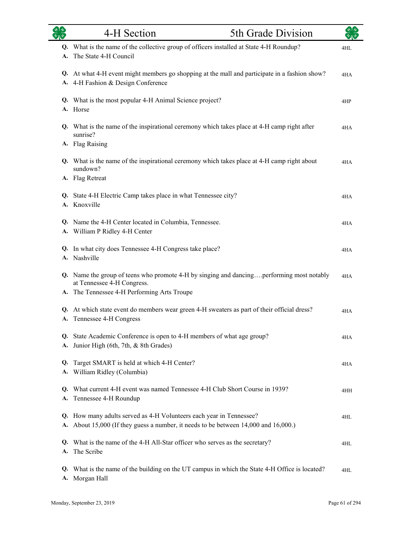|          | 4-H Section                                                                                                                                                | 5th Grade Division |     |
|----------|------------------------------------------------------------------------------------------------------------------------------------------------------------|--------------------|-----|
| А.       | Q. What is the name of the collective group of officers installed at State 4-H Roundup?<br>The State 4-H Council                                           |                    | 4HL |
|          | Q. At what 4-H event might members go shopping at the mall and participate in a fashion show?<br>A. 4-H Fashion & Design Conference                        |                    | 4HA |
|          | Q. What is the most popular 4-H Animal Science project?<br>A. Horse                                                                                        |                    | 4HP |
|          | Q. What is the name of the inspirational ceremony which takes place at 4-H camp right after<br>sunrise?                                                    |                    | 4HA |
|          | A. Flag Raising                                                                                                                                            |                    |     |
|          | Q. What is the name of the inspirational ceremony which takes place at 4-H camp right about<br>sundown?<br>A. Flag Retreat                                 |                    | 4HA |
|          | Q. State 4-H Electric Camp takes place in what Tennessee city?<br>A. Knoxville                                                                             |                    | 4HA |
|          | Q. Name the 4-H Center located in Columbia, Tennessee.<br>A. William P Ridley 4-H Center                                                                   |                    | 4HA |
|          | Q. In what city does Tennessee 4-H Congress take place?<br>A. Nashville                                                                                    |                    | 4HA |
|          | Q. Name the group of teens who promote 4-H by singing and dancingperforming most notably<br>at Tennessee 4-H Congress.                                     |                    | 4HA |
|          | A. The Tennessee 4-H Performing Arts Troupe                                                                                                                |                    |     |
|          | Q. At which state event do members wear green 4-H sweaters as part of their official dress?<br>A. Tennessee 4-H Congress                                   |                    | 4HA |
| А.       | Q. State Academic Conference is open to 4-H members of what age group?<br>Junior High (6th, 7th, & 8th Grades)                                             |                    | 4HA |
| Q.<br>A. | Target SMART is held at which 4-H Center?<br>William Ridley (Columbia)                                                                                     |                    | 4HA |
| O.       | What current 4-H event was named Tennessee 4-H Club Short Course in 1939?<br>A. Tennessee 4-H Roundup                                                      |                    | 4HH |
|          | Q. How many adults served as 4-H Volunteers each year in Tennessee?<br>A. About 15,000 (If they guess a number, it needs to be between 14,000 and 16,000.) |                    | 4HL |
| A.       | Q. What is the name of the 4-H All-Star officer who serves as the secretary?<br>The Scribe                                                                 |                    | 4HL |
| Q.<br>А. | What is the name of the building on the UT campus in which the State 4-H Office is located?<br>Morgan Hall                                                 |                    | 4HL |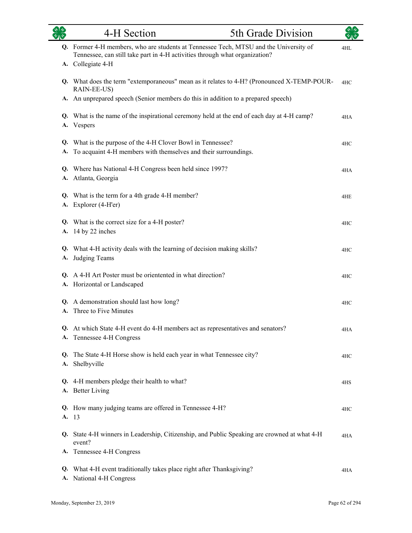| 多        | 4-H Section                                                                                                                                                                               | 5th Grade Division |     |
|----------|-------------------------------------------------------------------------------------------------------------------------------------------------------------------------------------------|--------------------|-----|
|          | Q. Former 4-H members, who are students at Tennessee Tech, MTSU and the University of<br>Tennessee, can still take part in 4-H activities through what organization?<br>A. Collegiate 4-H |                    | 4HL |
|          | Q. What does the term "extemporaneous" mean as it relates to 4-H? (Pronounced X-TEMP-POUR-<br>RAIN-EE-US)                                                                                 |                    | 4HC |
| А.       | An unprepared speech (Senior members do this in addition to a prepared speech)                                                                                                            |                    |     |
| А.       | Q. What is the name of the inspirational ceremony held at the end of each day at 4-H camp?<br>Vespers                                                                                     |                    | 4HA |
| Q.<br>A. | What is the purpose of the 4-H Clover Bowl in Tennessee?<br>To acquaint 4-H members with themselves and their surroundings.                                                               |                    | 4HC |
|          | Q. Where has National 4-H Congress been held since 1997?<br>A. Atlanta, Georgia                                                                                                           |                    | 4HA |
|          | Q. What is the term for a 4th grade 4-H member?<br>A. Explorer (4-H'er)                                                                                                                   |                    | 4HE |
| А.       | Q. What is the correct size for a 4-H poster?<br>14 by 22 inches                                                                                                                          |                    | 4HC |
| А.       | Q. What 4-H activity deals with the learning of decision making skills?<br>Judging Teams                                                                                                  |                    | 4HC |
|          | Q. A 4-H Art Poster must be orientented in what direction?<br>A. Horizontal or Landscaped                                                                                                 |                    | 4HC |
| Q.<br>A. | A demonstration should last how long?<br>Three to Five Minutes                                                                                                                            |                    | 4HC |
| А.       | At which State 4-H event do 4-H members act as representatives and senators?<br>Tennessee 4-H Congress                                                                                    |                    | 4HA |
| Q.<br>A. | The State 4-H Horse show is held each year in what Tennessee city?<br>Shelbyville                                                                                                         |                    | 4HC |
|          | Q. 4-H members pledge their health to what?<br>A. Better Living                                                                                                                           |                    | 4HS |
|          | Q. How many judging teams are offered in Tennessee 4-H?<br>A. 13                                                                                                                          |                    | 4HC |
|          | Q. State 4-H winners in Leadership, Citizenship, and Public Speaking are crowned at what 4-H<br>event?<br>A. Tennessee 4-H Congress                                                       |                    | 4HA |
| A.       | Q. What 4-H event traditionally takes place right after Thanksgiving?<br>National 4-H Congress                                                                                            |                    | 4HA |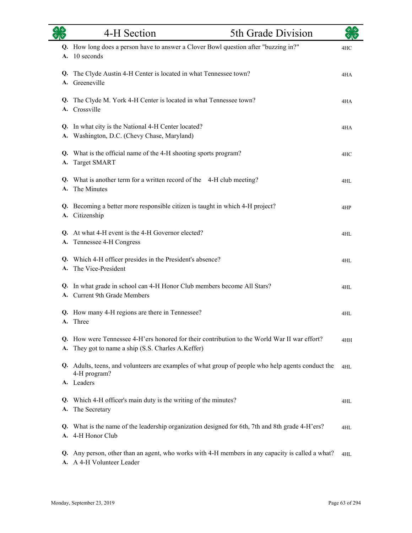|          | 4-H Section                                                                                                                                  | 5th Grade Division |     |
|----------|----------------------------------------------------------------------------------------------------------------------------------------------|--------------------|-----|
| A.       | Q. How long does a person have to answer a Clover Bowl question after "buzzing in?"<br>10 seconds                                            |                    | 4HC |
| Q.<br>А. | The Clyde Austin 4-H Center is located in what Tennessee town?<br>Greeneville                                                                |                    | 4HA |
| Q.<br>A. | The Clyde M. York 4-H Center is located in what Tennessee town?<br>Crossville                                                                |                    | 4HA |
| А.       | Q. In what city is the National 4-H Center located?<br>Washington, D.C. (Chevy Chase, Maryland)                                              |                    | 4HA |
| А.       | Q. What is the official name of the 4-H shooting sports program?<br><b>Target SMART</b>                                                      |                    | 4HC |
| Q.<br>A. | What is another term for a written record of the 4-H club meeting?<br>The Minutes                                                            |                    | 4HL |
| Q.       | Becoming a better more responsible citizen is taught in which 4-H project?<br>A. Citizenship                                                 |                    | 4HP |
| Q.<br>A. | At what 4-H event is the 4-H Governor elected?<br>Tennessee 4-H Congress                                                                     |                    | 4HL |
| A.       | Q. Which 4-H officer presides in the President's absence?<br>The Vice-President                                                              |                    | 4HL |
| Q.       | In what grade in school can 4-H Honor Club members become All Stars?<br>A. Current 9th Grade Members                                         |                    | 4HL |
|          | Q. How many 4-H regions are there in Tennessee?<br>A. Three                                                                                  |                    | 4HL |
| Q.<br>A. | How were Tennessee 4-H'ers honored for their contribution to the World War II war effort?<br>They got to name a ship (S.S. Charles A.Keffer) |                    | 4HH |
|          | Q. Adults, teens, and volunteers are examples of what group of people who help agents conduct the<br>4-H program?<br>A. Leaders              |                    | 4HL |
| Q.<br>А. | Which 4-H officer's main duty is the writing of the minutes?<br>The Secretary                                                                |                    | 4HL |
| Q.<br>A. | What is the name of the leadership organization designed for 6th, 7th and 8th grade 4-H'ers?<br>4-H Honor Club                               |                    | 4HL |
| Q.<br>A. | Any person, other than an agent, who works with 4-H members in any capacity is called a what?<br>A 4-H Volunteer Leader                      |                    | 4HL |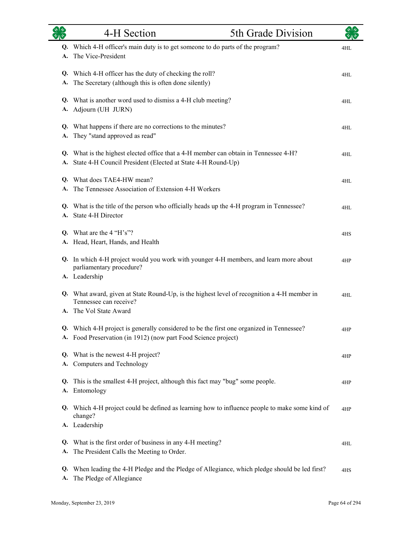|          | 4-H Section                                                                                                                                                | 5th Grade Division |     |
|----------|------------------------------------------------------------------------------------------------------------------------------------------------------------|--------------------|-----|
| A.       | Q. Which 4-H officer's main duty is to get someone to do parts of the program?<br>The Vice-President                                                       |                    | 4HL |
| A.       | Q. Which 4-H officer has the duty of checking the roll?<br>The Secretary (although this is often done silently)                                            |                    | 4HL |
|          | Q. What is another word used to dismiss a 4-H club meeting?<br>A. Adjourn (UH JURN)                                                                        |                    | 4HL |
| A.       | Q. What happens if there are no corrections to the minutes?<br>They "stand approved as read"                                                               |                    | 4HL |
| А.       | Q. What is the highest elected office that a 4-H member can obtain in Tennessee 4-H?<br>State 4-H Council President (Elected at State 4-H Round-Up)        |                    | 4HL |
| А.       | Q. What does TAE4-HW mean?<br>The Tennessee Association of Extension 4-H Workers                                                                           |                    | 4HL |
| А.       | Q. What is the title of the person who officially heads up the 4-H program in Tennessee?<br>State 4-H Director                                             |                    | 4HL |
|          | Q. What are the $4$ "H's"?<br>A. Head, Heart, Hands, and Health                                                                                            |                    | 4HS |
|          | Q. In which 4-H project would you work with younger 4-H members, and learn more about<br>parliamentary procedure?<br>A. Leadership                         |                    | 4HP |
| А.       | Q. What award, given at State Round-Up, is the highest level of recognition a 4-H member in<br>Tennessee can receive?<br>The Vol State Award               |                    | 4HL |
|          | Q. Which 4-H project is generally considered to be the first one organized in Tennessee?<br>A. Food Preservation (in 1912) (now part Food Science project) |                    | 4HP |
| A.       | Q. What is the newest 4-H project?<br>Computers and Technology                                                                                             |                    | 4HP |
| Q.<br>А. | This is the smallest 4-H project, although this fact may "bug" some people.<br>Entomology                                                                  |                    | 4HP |
|          | Q. Which 4-H project could be defined as learning how to influence people to make some kind of<br>change?<br>A. Leadership                                 |                    | 4HP |
| Q.<br>А. | What is the first order of business in any 4-H meeting?<br>The President Calls the Meeting to Order.                                                       |                    | 4HL |
| Q.<br>A. | When leading the 4-H Pledge and the Pledge of Allegiance, which pledge should be led first?<br>The Pledge of Allegiance                                    |                    | 4HS |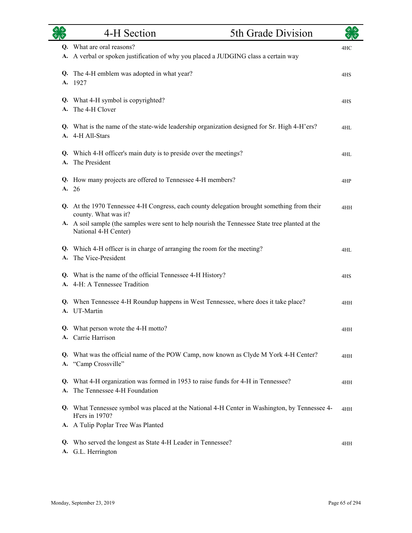|          | 4-H Section                                                                                                             | 5th Grade Division |     |
|----------|-------------------------------------------------------------------------------------------------------------------------|--------------------|-----|
|          | Q. What are oral reasons?                                                                                               |                    | 4HC |
| А.       | A verbal or spoken justification of why you placed a JUDGING class a certain way                                        |                    |     |
| Q.       | The 4-H emblem was adopted in what year?                                                                                |                    | 4HS |
| A.       | 1927                                                                                                                    |                    |     |
|          | What 4-H symbol is copyrighted?                                                                                         |                    |     |
| Q.<br>A. | The 4-H Clover                                                                                                          |                    | 4HS |
|          |                                                                                                                         |                    |     |
| Q.<br>А. | What is the name of the state-wide leadership organization designed for Sr. High 4-H'ers?<br>4-H All-Stars              |                    | 4HL |
|          |                                                                                                                         |                    |     |
| Q.       | Which 4-H officer's main duty is to preside over the meetings?                                                          |                    | 4HL |
| A.       | The President                                                                                                           |                    |     |
| Q.       | How many projects are offered to Tennessee 4-H members?                                                                 |                    | 4HP |
|          | A. 26                                                                                                                   |                    |     |
| Q.       | At the 1970 Tennessee 4-H Congress, each county delegation brought something from their                                 |                    | 4HH |
|          | county. What was it?                                                                                                    |                    |     |
|          | A. A soil sample (the samples were sent to help nourish the Tennessee State tree planted at the<br>National 4-H Center) |                    |     |
| Q.       | Which 4-H officer is in charge of arranging the room for the meeting?                                                   |                    | 4HL |
| A.       | The Vice-President                                                                                                      |                    |     |
| Q.       | What is the name of the official Tennessee 4-H History?                                                                 |                    | 4HS |
| A.       | 4-H: A Tennessee Tradition                                                                                              |                    |     |
|          | When Tennessee 4-H Roundup happens in West Tennessee, where does it take place?                                         |                    |     |
| Q.<br>A. | UT-Martin                                                                                                               |                    | 4HH |
|          |                                                                                                                         |                    |     |
|          | Q. What person wrote the 4-H motto?<br>A. Carrie Harrison                                                               |                    | 4HH |
|          |                                                                                                                         |                    |     |
|          | Q. What was the official name of the POW Camp, now known as Clyde M York 4-H Center?                                    |                    | 4HH |
|          | A. "Camp Crossville"                                                                                                    |                    |     |
|          | Q. What 4-H organization was formed in 1953 to raise funds for 4-H in Tennessee?                                        |                    | 4HH |
| А.       | The Tennessee 4-H Foundation                                                                                            |                    |     |
|          | Q. What Tennessee symbol was placed at the National 4-H Center in Washington, by Tennessee 4-<br>H'ers in 1970?         |                    | 4HH |
|          | A. A Tulip Poplar Tree Was Planted                                                                                      |                    |     |
|          | Q. Who served the longest as State 4-H Leader in Tennessee?<br>A. G.L. Herrington                                       |                    | 4HH |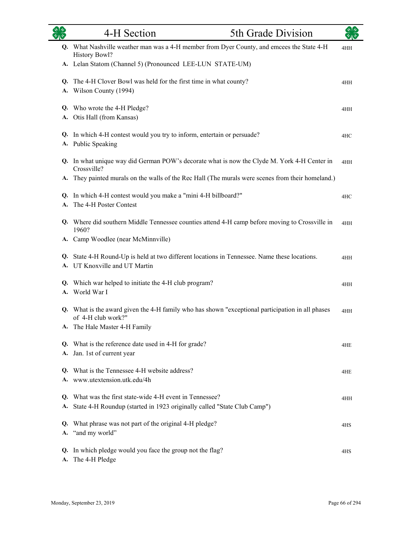| <b>els</b>      | 4-H Section                                                                                                                      | 5th Grade Division |     |
|-----------------|----------------------------------------------------------------------------------------------------------------------------------|--------------------|-----|
|                 | Q. What Nashville weather man was a 4-H member from Dyer County, and emcees the State 4-H<br><b>History Bowl?</b>                |                    | 4HH |
|                 | A. Lelan Statom (Channel 5) (Pronounced LEE-LUN STATE-UM)                                                                        |                    |     |
| Q.<br>A.        | The 4-H Clover Bowl was held for the first time in what county?<br>Wilson County (1994)                                          |                    | 4HH |
| Q.              | Who wrote the 4-H Pledge?<br>A. Otis Hall (from Kansas)                                                                          |                    | 4HH |
| A.              | Q. In which 4-H contest would you try to inform, entertain or persuade?<br>Public Speaking                                       |                    | 4HC |
|                 | Q. In what unique way did German POW's decorate what is now the Clyde M. York 4-H Center in<br>Crossville?                       |                    | 4HH |
|                 | A. They painted murals on the walls of the Rec Hall (The murals were scenes from their homeland.)                                |                    |     |
| Q.              | In which 4-H contest would you make a "mini 4-H billboard?"<br>The 4-H Poster Contest                                            |                    | 4HC |
|                 | Q. Where did southern Middle Tennessee counties attend 4-H camp before moving to Crossville in<br>1960?                          |                    | 4HH |
|                 | A. Camp Woodlee (near McMinnville)                                                                                               |                    |     |
|                 | Q. State 4-H Round-Up is held at two different locations in Tennessee. Name these locations.<br>A. UT Knoxville and UT Martin    |                    | 4HH |
|                 | Q. Which war helped to initiate the 4-H club program?<br>A. World War I                                                          |                    | 4HH |
| Q.              | What is the award given the 4-H family who has shown "exceptional participation in all phases<br>of 4-H club work?"              |                    | 4HH |
|                 | A. The Hale Master 4-H Family                                                                                                    |                    |     |
| Q.              | What is the reference date used in 4-H for grade?<br>A. Jan. 1st of current year                                                 |                    | 4HE |
| Q.              | What is the Tennessee 4-H website address?<br>www.utextension.utk.edu/4h                                                         |                    | 4HE |
| Q.<br>А.        | What was the first state-wide 4-H event in Tennessee?<br>State 4-H Roundup (started in 1923 originally called "State Club Camp") |                    | 4HH |
| Q.<br>А.        | What phrase was not part of the original 4-H pledge?<br>"and my world"                                                           |                    | 4HS |
| Q.<br><b>A.</b> | In which pledge would you face the group not the flag?<br>The 4-H Pledge                                                         |                    | 4HS |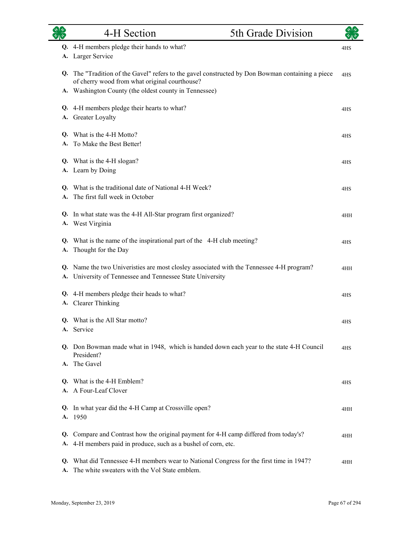|                 | 4-H Section                                                                                                                                                                                             | 5th Grade Division |     |
|-----------------|---------------------------------------------------------------------------------------------------------------------------------------------------------------------------------------------------------|--------------------|-----|
|                 | Q. 4-H members pledge their hands to what?<br>A. Larger Service                                                                                                                                         |                    | 4HS |
| Q.              | The "Tradition of the Gavel" refers to the gavel constructed by Don Bowman containing a piece<br>of cherry wood from what original courthouse?<br>A. Washington County (the oldest county in Tennessee) |                    | 4HS |
|                 | Q. 4-H members pledge their hearts to what?<br>A. Greater Loyalty                                                                                                                                       |                    | 4HS |
|                 | Q. What is the 4-H Motto?<br>A. To Make the Best Better!                                                                                                                                                |                    | 4HS |
|                 | Q. What is the 4-H slogan?<br>A. Learn by Doing                                                                                                                                                         |                    | 4HS |
| A.              | Q. What is the traditional date of National 4-H Week?<br>The first full week in October                                                                                                                 |                    | 4HS |
|                 | Q. In what state was the 4-H All-Star program first organized?<br>A. West Virginia                                                                                                                      |                    | 4HH |
| A.              | Q. What is the name of the inspirational part of the 4-H club meeting?<br>Thought for the Day                                                                                                           |                    | 4HS |
|                 | Q. Name the two Univeristies are most closley associated with the Tennessee 4-H program?<br>A. University of Tennessee and Tennessee State University                                                   |                    | 4HH |
|                 | Q. 4-H members pledge their heads to what?<br>A. Clearer Thinking                                                                                                                                       |                    | 4HS |
| А.              | Q. What is the All Star motto?<br>Service                                                                                                                                                               |                    | 4HS |
|                 | Q. Don Bowman made what in 1948, which is handed down each year to the state 4-H Council<br>President?<br>A. The Gavel                                                                                  |                    | 4HS |
| Q.              | What is the 4-H Emblem?<br>A Four-Leaf Clover                                                                                                                                                           |                    | 4HS |
| Q.              | In what year did the 4-H Camp at Crossville open?<br>A. 1950                                                                                                                                            |                    | 4HH |
| Q.<br><b>A.</b> | Compare and Contrast how the original payment for 4-H camp differed from today's?<br>4-H members paid in produce, such as a bushel of corn, etc.                                                        |                    | 4HH |
|                 | Q. What did Tennessee 4-H members wear to National Congress for the first time in 1947?                                                                                                                 |                    | 4HH |

A. The white sweaters with the Vol State emblem.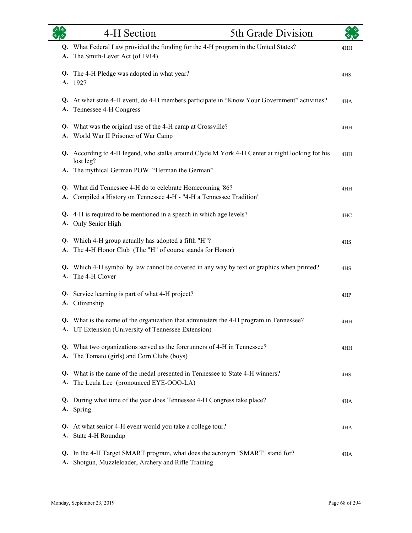| <b>OR</b> | 4-H Section                                                                                                                                                | 5th Grade Division |     |
|-----------|------------------------------------------------------------------------------------------------------------------------------------------------------------|--------------------|-----|
| A.        | Q. What Federal Law provided the funding for the 4-H program in the United States?<br>The Smith-Lever Act (of 1914)                                        |                    | 4HH |
| Q.<br>А.  | The 4-H Pledge was adopted in what year?<br>1927                                                                                                           |                    | 4HS |
|           | Q. At what state 4-H event, do 4-H members participate in "Know Your Government" activities?<br>A. Tennessee 4-H Congress                                  |                    | 4HA |
|           | Q. What was the original use of the 4-H camp at Crossville?<br>A. World War II Prisoner of War Camp                                                        |                    | 4HH |
| A.        | Q. According to 4-H legend, who stalks around Clyde M York 4-H Center at night looking for his<br>lost leg?<br>The mythical German POW "Herman the German" |                    | 4HH |
|           | Q. What did Tennessee 4-H do to celebrate Homecoming '86?<br>A. Compiled a History on Tennessee 4-H - "4-H a Tennessee Tradition"                          |                    | 4HH |
|           | Q. 4-H is required to be mentioned in a speech in which age levels?<br>A. Only Senior High                                                                 |                    | 4HC |
| А.        | Q. Which 4-H group actually has adopted a fifth "H"?<br>The 4-H Honor Club (The "H" of course stands for Honor)                                            |                    | 4HS |
| Q.<br>А.  | Which 4-H symbol by law cannot be covered in any way by text or graphics when printed?<br>The 4-H Clover                                                   |                    | 4HS |
|           | Q. Service learning is part of what 4-H project?<br>A. Citizenship                                                                                         |                    | 4HP |
|           | Q. What is the name of the organization that administers the 4-H program in Tennessee?<br>A. UT Extension (University of Tennessee Extension)              |                    | 4HH |
| A.        | Q. What two organizations served as the forerunners of 4-H in Tennessee?<br>The Tomato (girls) and Corn Clubs (boys)                                       |                    | 4HH |
| Q.<br>А.  | What is the name of the medal presented in Tennessee to State 4-H winners?<br>The Leula Lee (pronounced EYE-OOO-LA)                                        |                    | 4HS |
|           | Q. During what time of the year does Tennessee 4-H Congress take place?<br>A. Spring                                                                       |                    | 4HA |
| Q.        | At what senior 4-H event would you take a college tour?<br>A. State 4-H Roundup                                                                            |                    | 4HA |
| Q.<br>A.  | In the 4-H Target SMART program, what does the acronym "SMART" stand for?<br>Shotgun, Muzzleloader, Archery and Rifle Training                             |                    | 4HA |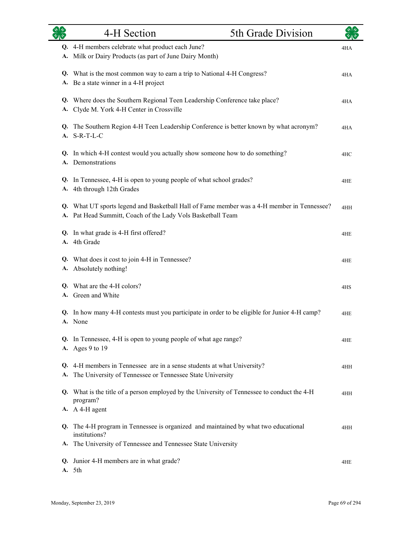|    | 4-H Section                                                                                                                                               | 5th Grade Division |     |
|----|-----------------------------------------------------------------------------------------------------------------------------------------------------------|--------------------|-----|
|    | Q. 4-H members celebrate what product each June?<br>A. Milk or Dairy Products (as part of June Dairy Month)                                               |                    | 4HA |
|    | Q. What is the most common way to earn a trip to National 4-H Congress?<br>A. Be a state winner in a 4-H project                                          |                    | 4HA |
|    | Q. Where does the Southern Regional Teen Leadership Conference take place?<br>A. Clyde M. York 4-H Center in Crossville                                   |                    | 4HA |
|    | Q. The Southern Region 4-H Teen Leadership Conference is better known by what acronym?<br>A. S-R-T-L-C                                                    |                    | 4HA |
|    | Q. In which 4-H contest would you actually show someone how to do something?<br>A. Demonstrations                                                         |                    | 4HC |
|    | Q. In Tennessee, 4-H is open to young people of what school grades?<br>A. 4th through 12th Grades                                                         |                    | 4HE |
|    | Q. What UT sports legend and Basketball Hall of Fame member was a 4-H member in Tennessee?<br>A. Pat Head Summitt, Coach of the Lady Vols Basketball Team |                    | 4HH |
|    | Q. In what grade is 4-H first offered?<br>A. 4th Grade                                                                                                    |                    | 4HE |
| А. | Q. What does it cost to join 4-H in Tennessee?<br>Absolutely nothing!                                                                                     |                    | 4HE |
|    | Q. What are the 4-H colors?<br>A. Green and White                                                                                                         |                    | 4HS |
|    | Q. In how many 4-H contests must you participate in order to be eligible for Junior 4-H camp?<br>A. None                                                  |                    | 4HE |
|    | Q. In Tennessee, 4-H is open to young people of what age range?<br>A. Ages 9 to 19                                                                        |                    | 4HE |
| А. | Q. 4-H members in Tennessee are in a sense students at what University?<br>The University of Tennessee or Tennessee State University                      |                    | 4HH |
|    | Q. What is the title of a person employed by the University of Tennessee to conduct the 4-H<br>program?                                                   |                    | 4HH |
|    | A. A 4-H agent                                                                                                                                            |                    |     |
|    | Q. The 4-H program in Tennessee is organized and maintained by what two educational<br>institutions?                                                      |                    | 4HH |
|    | A. The University of Tennessee and Tennessee State University                                                                                             |                    |     |
|    | Q. Junior 4-H members are in what grade?<br>A. 5th                                                                                                        |                    | 4HE |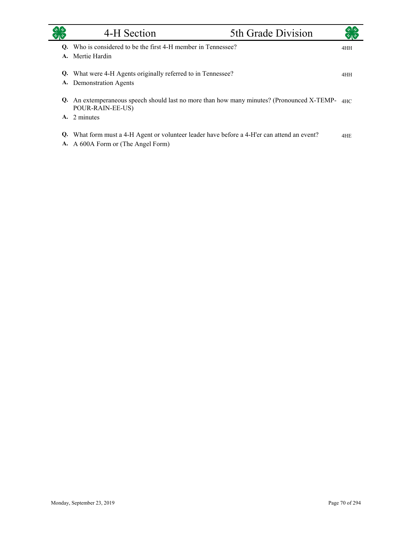|    | 4-H Section                                                                                                                           | 5th Grade Division |     |
|----|---------------------------------------------------------------------------------------------------------------------------------------|--------------------|-----|
| O. | Who is considered to be the first 4-H member in Tennessee?<br>A. Mertie Hardin                                                        |                    | 4HH |
|    | Q. What were 4-H Agents originally referred to in Tennessee?<br>A. Demonstration Agents                                               |                    | 4HH |
|    | <b>Q.</b> An extemperaneous speech should last no more than how many minutes? (Pronounced X-TEMP- $_{\text{4HC}}$<br>POUR-RAIN-EE-US) |                    |     |
|    | A. 2 minutes                                                                                                                          |                    |     |
| Q. | What form must a 4-H Agent or volunteer leader have before a 4-H'er can attend an event?<br>A. A 600A Form or (The Angel Form)        |                    | 4HE |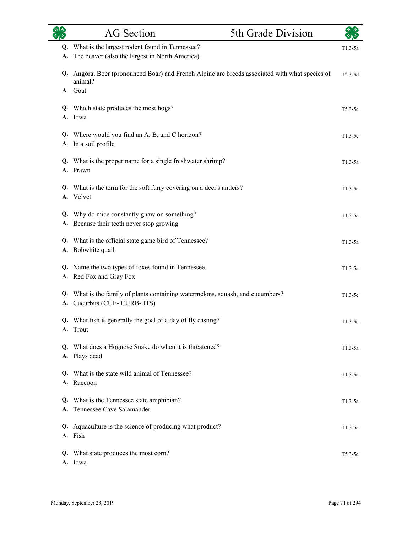| $\overline{\mathscr{E}}$ $\overline{\mathscr{E}}$ | <b>AG</b> Section                                                                                             | 5th Grade Division |           |
|---------------------------------------------------|---------------------------------------------------------------------------------------------------------------|--------------------|-----------|
| Q.                                                | What is the largest rodent found in Tennessee?                                                                |                    | $T1.3-5a$ |
| А.                                                | The beaver (also the largest in North America)                                                                |                    |           |
|                                                   | Q. Angora, Boer (pronounced Boar) and French Alpine are breeds associated with what species of<br>animal?     |                    | $T2.3-5d$ |
|                                                   | A. Goat                                                                                                       |                    |           |
|                                                   | Q. Which state produces the most hogs?<br>A. Iowa                                                             |                    | $T5.3-5e$ |
| Q.<br>А.                                          | Where would you find an A, B, and C horizon?<br>In a soil profile                                             |                    | $T1.3-5e$ |
|                                                   | Q. What is the proper name for a single freshwater shrimp?<br>A. Prawn                                        |                    | $T1.3-5a$ |
|                                                   | Q. What is the term for the soft furry covering on a deer's antlers?<br>A. Velvet                             |                    | $T1.3-5a$ |
| Q.                                                | Why do mice constantly gnaw on something?<br>A. Because their teeth never stop growing                        |                    | $T1.3-5a$ |
| A.                                                | Q. What is the official state game bird of Tennessee?<br>Bobwhite quail                                       |                    | $T1.3-5a$ |
| A.                                                | Q. Name the two types of foxes found in Tennessee.<br>Red Fox and Gray Fox                                    |                    | $T1.3-5a$ |
|                                                   | Q. What is the family of plants containing watermelons, squash, and cucumbers?<br>A. Cucurbits (CUE-CURB-ITS) |                    | $T1.3-5e$ |
|                                                   | Q. What fish is generally the goal of a day of fly casting?<br>A. Trout                                       |                    | $T1.3-5a$ |
|                                                   | Q. What does a Hognose Snake do when it is threatened?<br>A. Plays dead                                       |                    | $T1.3-5a$ |
|                                                   | Q. What is the state wild animal of Tennessee?<br>A. Raccoon                                                  |                    | $T1.3-5a$ |
|                                                   | Q. What is the Tennessee state amphibian?<br>A. Tennessee Cave Salamander                                     |                    | $T1.3-5a$ |
|                                                   | Q. Aquaculture is the science of producing what product?<br>A. Fish                                           |                    | $T1.3-5a$ |
|                                                   | Q. What state produces the most corn?<br>A. Iowa                                                              |                    | $T5.3-5e$ |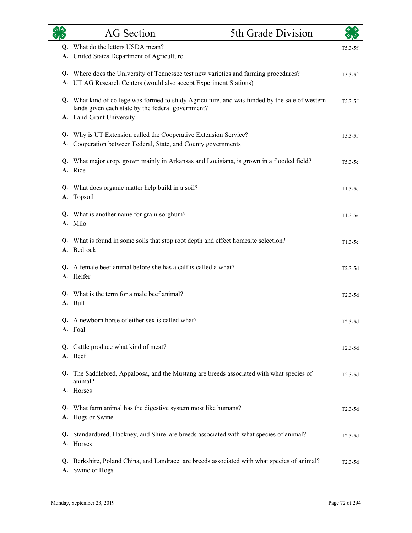|          | <b>AG</b> Section                                                                                                                                                               | 5th Grade Division |           |
|----------|---------------------------------------------------------------------------------------------------------------------------------------------------------------------------------|--------------------|-----------|
| O.<br>А. | What do the letters USDA mean?<br>United States Department of Agriculture                                                                                                       |                    | $T5.3-5f$ |
| А.       | Q. Where does the University of Tennessee test new varieties and farming procedures?<br>UT AG Research Centers (would also accept Experiment Stations)                          |                    | $T5.3-5f$ |
|          | Q. What kind of college was formed to study Agriculture, and was funded by the sale of western<br>lands given each state by the federal government?<br>A. Land-Grant University |                    | $T5.3-5f$ |
| Q.<br>А. | Why is UT Extension called the Cooperative Extension Service?<br>Cooperation between Federal, State, and County governments                                                     |                    | $T5.3-5f$ |
|          | Q. What major crop, grown mainly in Arkansas and Louisiana, is grown in a flooded field?<br>A. Rice                                                                             |                    | $T5.3-5e$ |
| Q.<br>А. | What does organic matter help build in a soil?<br>Topsoil                                                                                                                       |                    | $T1.3-5e$ |
| Q.       | What is another name for grain sorghum?<br>A. Milo                                                                                                                              |                    | $T1.3-5e$ |
|          | Q. What is found in some soils that stop root depth and effect homesite selection?<br>A. Bedrock                                                                                |                    | $T1.3-5e$ |
|          | Q. A female beef animal before she has a calf is called a what?<br>A. Heifer                                                                                                    |                    | $T2.3-5d$ |
| O.       | What is the term for a male beef animal?<br>A. Bull                                                                                                                             |                    | $T2.3-5d$ |
|          | Q. A newborn horse of either sex is called what?<br>A. Foal                                                                                                                     |                    | $T2.3-5d$ |
|          | Q. Cattle produce what kind of meat?<br>A. Beef                                                                                                                                 |                    | $T2.3-5d$ |
|          | Q. The Saddlebred, Appaloosa, and the Mustang are breeds associated with what species of<br>animal?                                                                             |                    | $T2.3-5d$ |
|          | A. Horses                                                                                                                                                                       |                    |           |
| Q.       | What farm animal has the digestive system most like humans?<br>A. Hogs or Swine                                                                                                 |                    | $T2.3-5d$ |
| Q.       | Standardbred, Hackney, and Shire are breeds associated with what species of animal?<br>A. Horses                                                                                |                    | $T2.3-5d$ |
| Q.<br>А. | Berkshire, Poland China, and Landrace are breeds associated with what species of animal?<br>Swine or Hogs                                                                       |                    | $T2.3-5d$ |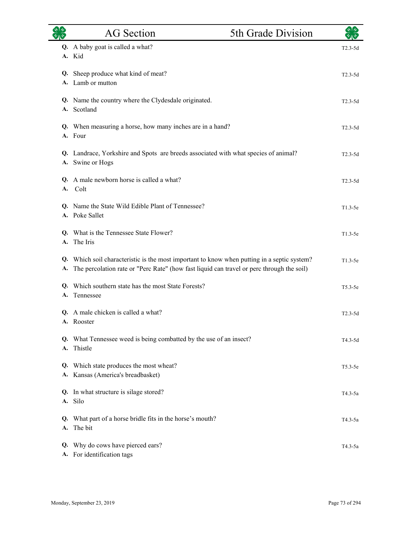|          | <b>AG</b> Section                                                                                                                                                                     | 5th Grade Division | $\sqrt[3]{2}$ |
|----------|---------------------------------------------------------------------------------------------------------------------------------------------------------------------------------------|--------------------|---------------|
| Q.       | A baby goat is called a what?<br>A. Kid                                                                                                                                               |                    | $T2.3-5d$     |
| Q.       | Sheep produce what kind of meat?<br>A. Lamb or mutton                                                                                                                                 |                    | $T2.3-5d$     |
|          | Q. Name the country where the Clydesdale originated.<br>A. Scotland                                                                                                                   |                    | $T2.3-5d$     |
| Q.<br>A. | When measuring a horse, how many inches are in a hand?<br>Four                                                                                                                        |                    | $T2.3-5d$     |
|          | Q. Landrace, Yorkshire and Spots are breeds associated with what species of animal?<br>A. Swine or Hogs                                                                               |                    | $T2.3-5d$     |
| Q.<br>A. | A male newborn horse is called a what?<br>Colt                                                                                                                                        |                    | $T2.3 - 5d$   |
| O.       | Name the State Wild Edible Plant of Tennessee?<br>A. Poke Sallet                                                                                                                      |                    | $T1.3-5e$     |
| Q.<br>A. | What is the Tennessee State Flower?<br>The Iris                                                                                                                                       |                    | $T1.3-5e$     |
| Q.<br>A. | Which soil characteristic is the most important to know when putting in a septic system?<br>The percolation rate or "Perc Rate" (how fast liquid can travel or perc through the soil) |                    | $T1.3-5e$     |
| A.       | Q. Which southern state has the most State Forests?<br>Tennessee                                                                                                                      |                    | $T5.3-5e$     |
|          | Q. A male chicken is called a what?<br>A. Rooster                                                                                                                                     |                    | $T2.3-5d$     |
|          | Q. What Tennessee weed is being combatted by the use of an insect?<br>A. Thistle                                                                                                      |                    | T4.3-5d       |
| Q.       | Which state produces the most wheat?<br>A. Kansas (America's breadbasket)                                                                                                             |                    | $T5.3-5e$     |
|          | Q. In what structure is silage stored?<br>A. Silo                                                                                                                                     |                    | T4.3-5a       |
| A.       | Q. What part of a horse bridle fits in the horse's mouth?<br>The bit                                                                                                                  |                    | T4.3-5a       |
| Q.       | Why do cows have pierced ears?<br>A. For identification tags                                                                                                                          |                    | $T4.3-5a$     |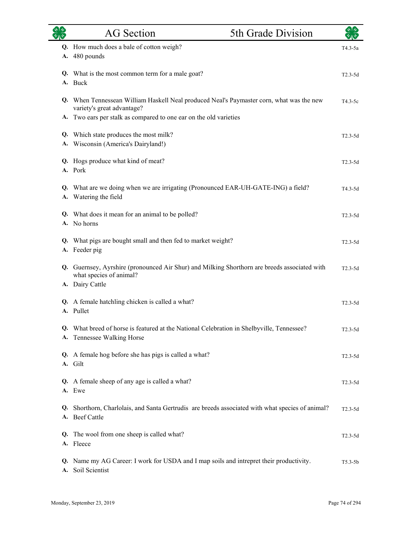|    | <b>AG</b> Section                                                                                                                          | 5th Grade Division | কাক         |
|----|--------------------------------------------------------------------------------------------------------------------------------------------|--------------------|-------------|
|    | Q. How much does a bale of cotton weigh?<br>A. 480 pounds                                                                                  |                    | T4.3-5a     |
|    | Q. What is the most common term for a male goat?<br>A. Buck                                                                                |                    | $T2.3-5d$   |
|    | Q. When Tennessean William Haskell Neal produced Neal's Paymaster corn, what was the new<br>variety's great advantage?                     |                    | $T4.3-5c$   |
| A. | Two ears per stalk as compared to one ear on the old varieties                                                                             |                    |             |
| A. | Q. Which state produces the most milk?<br>Wisconsin (America's Dairyland!)                                                                 |                    | $T2.3-5d$   |
| Q. | Hogs produce what kind of meat?<br>A. Pork                                                                                                 |                    | $T2.3-5d$   |
|    | Q. What are we doing when we are irrigating (Pronounced EAR-UH-GATE-ING) a field?<br>A. Watering the field                                 |                    | $T4.3-5d$   |
|    | Q. What does it mean for an animal to be polled?<br>A. No horns                                                                            |                    | $T2.3-5d$   |
| Q. | What pigs are bought small and then fed to market weight?<br>A. Feeder pig                                                                 |                    | $T2.3-5d$   |
|    | Q. Guernsey, Ayrshire (pronounced Air Shur) and Milking Shorthorn are breeds associated with<br>what species of animal?<br>A. Dairy Cattle |                    | $T2.3-5d$   |
|    | Q. A female hatchling chicken is called a what?<br>A. Pullet                                                                               |                    | $T2.3-5d$   |
|    | What breed of horse is featured at the National Celebration in Shelbyville, Tennessee?<br>A. Tennessee Walking Horse                       |                    | $T2.3-5d$   |
|    | Q. A female hog before she has pigs is called a what?<br>A. Gilt                                                                           |                    | $T2.3-5d$   |
|    | Q. A female sheep of any age is called a what?<br>A. Ewe                                                                                   |                    | $T2.3-5d$   |
|    | Q. Shorthorn, Charlolais, and Santa Gertrudis are breeds associated with what species of animal?<br>A. Beef Cattle                         |                    | $T2.3-5d$   |
| Q. | The wool from one sheep is called what?<br>A. Fleece                                                                                       |                    | $T2.3-5d$   |
| A. | Q. Name my AG Career: I work for USDA and I map soils and intrepret their productivity.<br>Soil Scientist                                  |                    | $T5.3 - 5b$ |

 $\overline{\phantom{0}}$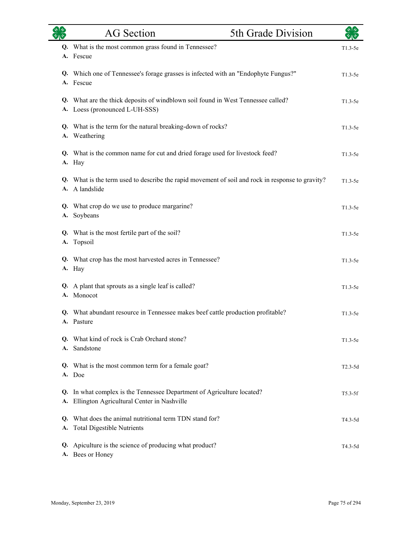| <b>SAR</b> | <b>AG</b> Section                                                                                                  | 5th Grade Division | $\star$ $\star$ |
|------------|--------------------------------------------------------------------------------------------------------------------|--------------------|-----------------|
|            | Q. What is the most common grass found in Tennessee?<br>A. Fescue                                                  |                    | $T1.3-5e$       |
|            | Q. Which one of Tennessee's forage grasses is infected with an "Endophyte Fungus?"<br>A. Fescue                    |                    | $T1.3-5e$       |
|            | Q. What are the thick deposits of windblown soil found in West Tennessee called?<br>A. Loess (pronounced L-UH-SSS) |                    | $T1.3-5e$       |
|            | Q. What is the term for the natural breaking-down of rocks?<br>A. Weathering                                       |                    | $T1.3-5e$       |
|            | Q. What is the common name for cut and dried forage used for livestock feed?<br>A. Hay                             |                    | $T1.3-5e$       |
|            | Q. What is the term used to describe the rapid movement of soil and rock in response to gravity?<br>A. A landslide |                    | $T1.3-5e$       |
|            | Q. What crop do we use to produce margarine?<br>A. Soybeans                                                        |                    | $T1.3-5e$       |
|            | Q. What is the most fertile part of the soil?<br>A. Topsoil                                                        |                    | $T1.3-5e$       |
|            | Q. What crop has the most harvested acres in Tennessee?<br>A. Hay                                                  |                    | $T1.3-5e$       |
|            | Q. A plant that sprouts as a single leaf is called?<br>A. Monocot                                                  |                    | $T1.3-5e$       |
|            | Q. What abundant resource in Tennessee makes beef cattle production profitable?<br>A. Pasture                      |                    | $T1.3-5e$       |
|            | Q. What kind of rock is Crab Orchard stone?<br>A. Sandstone                                                        |                    | $T1.3-5e$       |
| O.         | What is the most common term for a female goat?<br>A. Doe                                                          |                    | $T2.3-5d$       |
| Q.<br>A.   | In what complex is the Tennessee Department of Agriculture located?<br>Ellington Agricultural Center in Nashville  |                    | $T5.3-5f$       |
| Q.<br>A.   | What does the animal nutritional term TDN stand for?<br><b>Total Digestible Nutrients</b>                          |                    | T4.3-5d         |
| Q.         | Apiculture is the science of producing what product?<br>A. Bees or Honey                                           |                    | T4.3-5d         |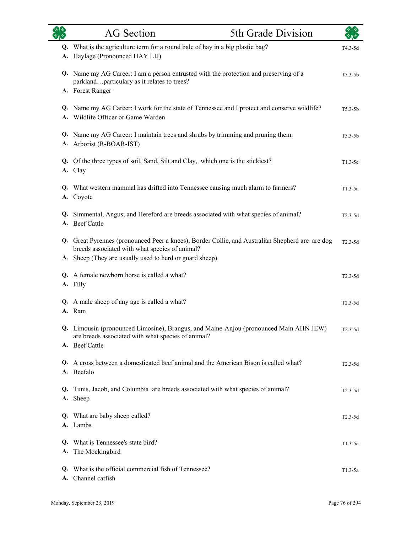|          | <b>AG</b> Section                                                                                                                                                                                            | 5th Grade Division |             |
|----------|--------------------------------------------------------------------------------------------------------------------------------------------------------------------------------------------------------------|--------------------|-------------|
| A.       | Q. What is the agriculture term for a round bale of hay in a big plastic bag?<br>Haylage (Pronounced HAY LIJ)                                                                                                |                    | T4.3-5d     |
|          | Q. Name my AG Career: I am a person entrusted with the protection and preserving of a<br>parklandparticulary as it relates to trees?<br>A. Forest Ranger                                                     |                    | $T5.3 - 5b$ |
|          | Q. Name my AG Career: I work for the state of Tennessee and I protect and conserve wildlife?<br>A. Wildlife Officer or Game Warden                                                                           |                    | $T5.3 - 5b$ |
|          | Q. Name my AG Career: I maintain trees and shrubs by trimming and pruning them.<br>A. Arborist (R-BOAR-IST)                                                                                                  |                    | $T5.3 - 5b$ |
|          | Q. Of the three types of soil, Sand, Silt and Clay, which one is the stickiest?<br>A. Clay                                                                                                                   |                    | $T1.3-5e$   |
|          | Q. What western mammal has drifted into Tennessee causing much alarm to farmers?<br>A. Coyote                                                                                                                |                    | $T1.3-5a$   |
|          | Q. Simmental, Angus, and Hereford are breeds associated with what species of animal?<br>A. Beef Cattle                                                                                                       |                    | $T2.3-5d$   |
|          | Q. Great Pyrennes (pronounced Peer a knees), Border Collie, and Australian Shepherd are are dog<br>breeds associated with what species of animal?<br>A. Sheep (They are usually used to herd or guard sheep) |                    | $T2.3-5d$   |
|          | Q. A female newborn horse is called a what?<br>A. Filly                                                                                                                                                      |                    | $T2.3-5d$   |
| A.       | Q. A male sheep of any age is called a what?<br>Ram                                                                                                                                                          |                    | $T2.3-5d$   |
|          | Q. Limousin (pronounced Limosine), Brangus, and Maine-Anjou (pronounced Main AHN JEW)<br>are breeds associated with what species of animal?<br>A. Beef Cattle                                                |                    | $T2.3-5d$   |
|          | Q. A cross between a domesticated beef animal and the American Bison is called what?<br>A. Beefalo                                                                                                           |                    | $T2.3-5d$   |
| Q.       | Tunis, Jacob, and Columbia are breeds associated with what species of animal?<br>A. Sheep                                                                                                                    |                    | $T2.3-5d$   |
|          | Q. What are baby sheep called?<br>A. Lambs                                                                                                                                                                   |                    | $T2.3 - 5d$ |
| Q.<br>А. | What is Tennessee's state bird?<br>The Mockingbird                                                                                                                                                           |                    | $T1.3-5a$   |
| Q.       | What is the official commercial fish of Tennessee?<br>A. Channel catfish                                                                                                                                     |                    | $T1.3-5a$   |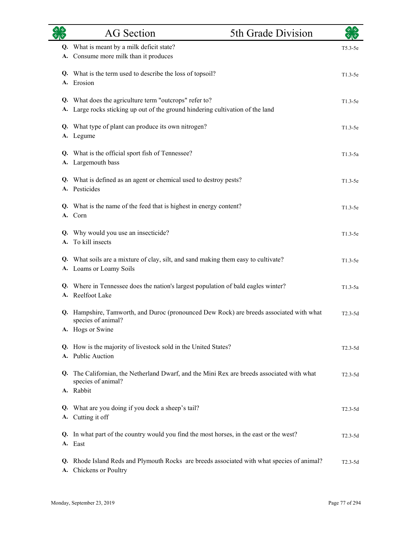|          | <b>AG</b> Section                                                                                                                     | 5th Grade Division | $\sqrt{2}$ |
|----------|---------------------------------------------------------------------------------------------------------------------------------------|--------------------|------------|
| А.       | Q. What is meant by a milk deficit state?<br>Consume more milk than it produces                                                       |                    | $T5.3-5e$  |
|          | Q. What is the term used to describe the loss of topsoil?<br>A. Erosion                                                               |                    | $T1.3-5e$  |
| А.       | Q. What does the agriculture term "outcrops" refer to?<br>Large rocks sticking up out of the ground hindering cultivation of the land |                    | $T1.3-5e$  |
| А.       | Q. What type of plant can produce its own nitrogen?<br>Legume                                                                         |                    | $T1.3-5e$  |
|          | Q. What is the official sport fish of Tennessee?<br>A. Largemouth bass                                                                |                    | $T1.3-5a$  |
|          | Q. What is defined as an agent or chemical used to destroy pests?<br>A. Pesticides                                                    |                    | $T1.3-5e$  |
|          | Q. What is the name of the feed that is highest in energy content?<br>A. Corn                                                         |                    | $T1.3-5e$  |
| А.       | Q. Why would you use an insecticide?<br>To kill insects                                                                               |                    | $T1.3-5e$  |
|          | Q. What soils are a mixture of clay, silt, and sand making them easy to cultivate?<br>A. Loams or Loamy Soils                         |                    | $T1.3-5e$  |
|          | Q. Where in Tennessee does the nation's largest population of bald eagles winter?<br>A. Reelfoot Lake                                 |                    | $T1.3-5a$  |
| Q.       | Hampshire, Tamworth, and Duroc (pronounced Dew Rock) are breeds associated with what<br>species of animal?<br>A. Hogs or Swine        |                    | $T2.3-5d$  |
| A.       | Q. How is the majority of livestock sold in the United States?<br><b>Public Auction</b>                                               |                    | $T2.3-5d$  |
| Q.       | The Californian, the Netherland Dwarf, and the Mini Rex are breeds associated with what<br>species of animal?<br>A. Rabbit            |                    | $T2.3-5d$  |
|          | Q. What are you doing if you dock a sheep's tail?<br>A. Cutting it off                                                                |                    | $T2.3-5d$  |
|          | Q. In what part of the country would you find the most horses, in the east or the west?<br>A. East                                    |                    | $T2.3-5d$  |
| Q.<br>А. | Rhode Island Reds and Plymouth Rocks are breeds associated with what species of animal?<br>Chickens or Poultry                        |                    | $T2.3-5d$  |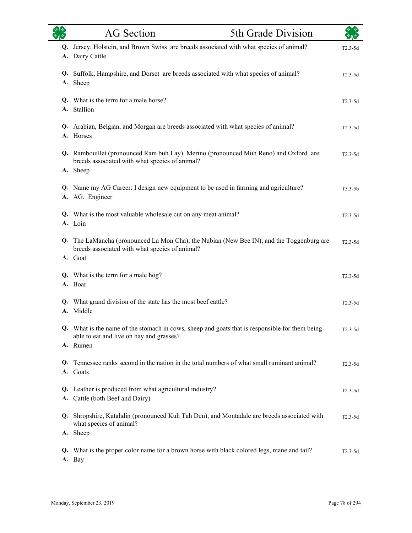| $rac{8}{2}$ | <b>AG</b> Section                                                                                                                                     | 5th Grade Division | $\star$ 1 $\star$ |
|-------------|-------------------------------------------------------------------------------------------------------------------------------------------------------|--------------------|-------------------|
| A.          | Q. Jersey, Holstein, and Brown Swiss are breeds associated with what species of animal?<br>Dairy Cattle                                               |                    | $T2.3-5d$         |
|             | Q. Suffolk, Hampshire, and Dorset are breeds associated with what species of animal?<br>A. Sheep                                                      |                    | $T2.3-5d$         |
|             | Q. What is the term for a male horse?<br>A. Stallion                                                                                                  |                    | $T2.3-5d$         |
|             | Q. Arabian, Belgian, and Morgan are breeds associated with what species of animal?<br>A. Horses                                                       |                    | $T2.3-5d$         |
|             | Q. Rambouillet (pronounced Ram buh Lay), Merino (pronounced Muh Reno) and Oxford are<br>breeds associated with what species of animal?<br>A. Sheep    |                    | $T2.3-5d$         |
|             | Q. Name my AG Career: I design new equipment to be used in farming and agriculture?<br>A. AG. Engineer                                                |                    | $T5.3-5b$         |
|             | Q. What is the most valuable wholesale cut on any meat animal?<br>A. Loin                                                                             |                    | $T2.3-5d$         |
|             | Q. The LaMancha (pronounced La Mon Cha), the Nubian (New Bee IN), and the Toggenburg are<br>breeds associated with what species of animal?<br>A. Goat |                    | $T2.3-5d$         |
|             | Q. What is the term for a male hog?<br>A. Boar                                                                                                        |                    | $T2.3-5d$         |
|             | Q. What grand division of the state has the most beef cattle?<br>A. Middle                                                                            |                    | $T2.3-5d$         |
|             | Q. What is the name of the stomach in cows, sheep and goats that is responsible for them being<br>able to eat and live on hay and grasses?            |                    | $T2.3-5d$         |
|             | A. Rumen                                                                                                                                              |                    |                   |
| Q.          | Tennessee ranks second in the nation in the total numbers of what small ruminant animal?<br>A. Goats                                                  |                    | $T2.3-5d$         |
| A.          | Q. Leather is produced from what agricultural industry?<br>Cattle (both Beef and Dairy)                                                               |                    | $T2.3-5d$         |
|             | Q. Shropshire, Katahdin (pronounced Kuh Tah Den), and Montadale are breeds associated with<br>what species of animal?                                 |                    | $T2.3-5d$         |
|             | A. Sheep                                                                                                                                              |                    |                   |
| Q.          | What is the proper color name for a brown horse with black colored legs, mane and tail?<br>A. Bay                                                     |                    | $T2.3-5d$         |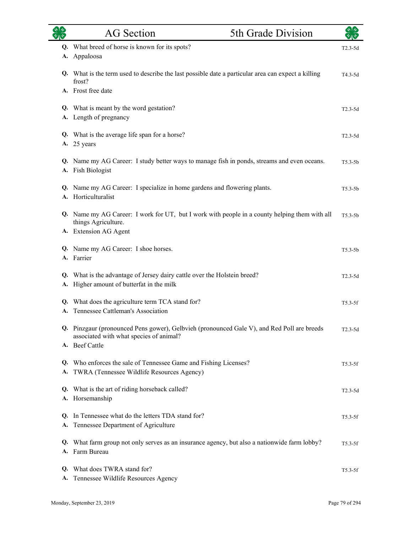| タルや      | <b>AG</b> Section                                                                                                                                       | 5th Grade Division |             |
|----------|---------------------------------------------------------------------------------------------------------------------------------------------------------|--------------------|-------------|
| Q.<br>A. | What breed of horse is known for its spots?<br>Appaloosa                                                                                                |                    | $T2.3-5d$   |
|          | Q. What is the term used to describe the last possible date a particular area can expect a killing<br>frost?                                            |                    | T4.3-5d     |
|          | A. Frost free date                                                                                                                                      |                    |             |
|          | Q. What is meant by the word gestation?<br>A. Length of pregnancy                                                                                       |                    | $T2.3-5d$   |
| А.       | Q. What is the average life span for a horse?<br>25 years                                                                                               |                    | $T2.3-5d$   |
|          | Q. Name my AG Career: I study better ways to manage fish in ponds, streams and even oceans.<br>A. Fish Biologist                                        |                    | $T5.3-5b$   |
|          | Q. Name my AG Career: I specialize in home gardens and flowering plants.<br>A. Horticulturalist                                                         |                    | $T5.3-5b$   |
|          | Q. Name my AG Career: I work for UT, but I work with people in a county helping them with all<br>things Agriculture.                                    |                    | $T5.3-5b$   |
|          | A. Extension AG Agent                                                                                                                                   |                    |             |
|          | Q. Name my AG Career: I shoe horses.<br>A. Farrier                                                                                                      |                    | $T5.3 - 5b$ |
| A.       | Q. What is the advantage of Jersey dairy cattle over the Holstein breed?<br>Higher amount of butterfat in the milk                                      |                    | $T2.3-5d$   |
| A.       | Q. What does the agriculture term TCA stand for?<br>Tennessee Cattleman's Association                                                                   |                    | $T5.3-5f$   |
|          | Q. Pinzgaur (pronounced Pens gower), Gelbvieh (pronounced Gale V), and Red Poll are breeds<br>associated with what species of animal?<br>A. Beef Cattle |                    | $T2.3-5d$   |
|          | Q. Who enforces the sale of Tennessee Game and Fishing Licenses?<br>A. TWRA (Tennessee Wildlife Resources Agency)                                       |                    | $T5.3-5f$   |
| Q.       | What is the art of riding horseback called?<br>A. Horsemanship                                                                                          |                    | $T2.3-5d$   |
| A.       | Q. In Tennessee what do the letters TDA stand for?<br>Tennessee Department of Agriculture                                                               |                    | $T5.3-5f$   |
| Q.       | What farm group not only serves as an insurance agency, but also a nationwide farm lobby?<br>A. Farm Bureau                                             |                    | $T5.3-5f$   |
| Q.<br>А. | What does TWRA stand for?<br>Tennessee Wildlife Resources Agency                                                                                        |                    | $T5.3-5f$   |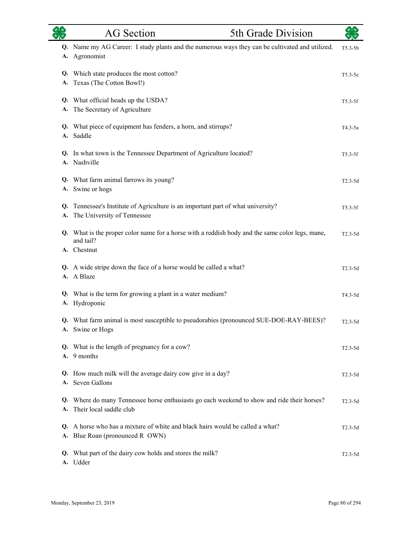| रुष्ट्र<br>स्रोत | <b>AG</b> Section<br>5th Grade Division                                                                             | स्रोक्    |
|------------------|---------------------------------------------------------------------------------------------------------------------|-----------|
|                  | Q. Name my AG Career: I study plants and the numerous ways they can be cultivated and utilized.<br>A. Agronomist    | $T5.3-5b$ |
| A.               | Q. Which state produces the most cotton?<br>Texas (The Cotton Bowl!)                                                | $T5.3-5e$ |
| A.               | Q. What official heads up the USDA?<br>The Secretary of Agriculture                                                 | $T5.3-5f$ |
|                  | Q. What piece of equipment has fenders, a horn, and stirrups?<br>A. Saddle                                          | T4.3-5a   |
| A.               | Q. In what town is the Tennessee Department of Agriculture located?<br>Nashville                                    | $T5.3-5f$ |
|                  | Q. What farm animal farrows its young?<br>A. Swine or hogs                                                          | $T2.3-5d$ |
| Q.<br>A.         | Tennessee's Institute of Agriculture is an important part of what university?<br>The University of Tennessee        | $T5.3-5f$ |
|                  | Q. What is the proper color name for a horse with a reddish body and the same color legs, mane,<br>and tail?        | $T2.3-5d$ |
|                  | A. Chestnut                                                                                                         |           |
|                  | Q. A wide stripe down the face of a horse would be called a what?<br>A. A Blaze                                     | $T2.3-5d$ |
|                  | Q. What is the term for growing a plant in a water medium?<br>A. Hydroponic                                         | $T4.3-5d$ |
|                  | Q. What farm animal is most susceptible to pseudorabies (pronounced SUE-DOE-RAY-BEES)?<br>A. Swine or Hogs          | $T2.3-5d$ |
|                  | Q. What is the length of pregnancy for a cow?<br>A. 9 months                                                        | $T2.3-5d$ |
| Q.               | How much milk will the average dairy cow give in a day?<br>A. Seven Gallons                                         | $T2.3-5d$ |
| Q.<br>A.         | Where do many Tennessee horse enthusiasts go each weekend to show and ride their horses?<br>Their local saddle club | $T2.3-5d$ |
| Q.<br>А.         | A horse who has a mixture of white and black hairs would be called a what?<br>Blue Roan (pronounced R OWN)          | $T2.3-5d$ |
| Q.               | What part of the dairy cow holds and stores the milk?<br>A. Udder                                                   | $T2.3-5d$ |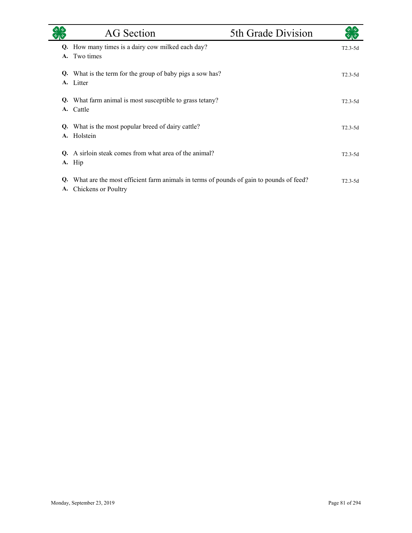|           | <b>AG</b> Section                                                                                                | 5th Grade Division |             |
|-----------|------------------------------------------------------------------------------------------------------------------|--------------------|-------------|
|           | Q. How many times is a dairy cow milked each day?                                                                |                    | $T2.3-5d$   |
| A.        | Two times                                                                                                        |                    |             |
| Q.        | What is the term for the group of baby pigs a sow has?                                                           |                    | $T2.3-5d$   |
| A.        | Litter                                                                                                           |                    |             |
|           | <b>Q.</b> What farm animal is most susceptible to grass tetany?                                                  |                    | $T2.3 - 5d$ |
| <b>A.</b> | Cattle                                                                                                           |                    |             |
| Q.        | What is the most popular breed of dairy cattle?                                                                  |                    | $T2.3 - 5d$ |
| A.        | Holstein                                                                                                         |                    |             |
| O.        | A sirloin steak comes from what area of the animal?                                                              |                    | $T2.3 - 5d$ |
|           | A. Hip                                                                                                           |                    |             |
|           |                                                                                                                  |                    |             |
| Q.        | What are the most efficient farm animals in terms of pounds of gain to pounds of feed?<br>A. Chickens or Poultry |                    | $T2.3 - 5d$ |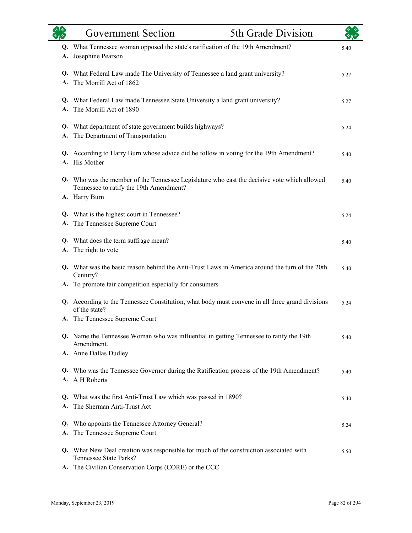|          | <b>Government Section</b>                                                                                        | 5th Grade Division |      |
|----------|------------------------------------------------------------------------------------------------------------------|--------------------|------|
| Q.       | What Tennessee woman opposed the state's ratification of the 19th Amendment?                                     |                    | 5.40 |
| A.       | Josephine Pearson                                                                                                |                    |      |
|          | Q. What Federal Law made The University of Tennessee a land grant university?                                    |                    | 5.27 |
| A.       | The Morrill Act of 1862                                                                                          |                    |      |
|          | Q. What Federal Law made Tennessee State University a land grant university?                                     |                    | 5.27 |
| A.       | The Morrill Act of 1890                                                                                          |                    |      |
| Q.       | What department of state government builds highways?                                                             |                    | 5.24 |
| А.       | The Department of Transportation                                                                                 |                    |      |
|          | Q. According to Harry Burn whose advice did he follow in voting for the 19th Amendment?                          |                    | 5.40 |
|          | A. His Mother                                                                                                    |                    |      |
| Q.       | Who was the member of the Tennessee Legislature who cast the decisive vote which allowed                         |                    | 5.40 |
|          | Tennessee to ratify the 19th Amendment?<br>A. Harry Burn                                                         |                    |      |
|          |                                                                                                                  |                    |      |
| Q.<br>А. | What is the highest court in Tennessee?<br>The Tennessee Supreme Court                                           |                    | 5.24 |
|          | Q. What does the term suffrage mean?                                                                             |                    |      |
| A.       | The right to vote                                                                                                |                    | 5.40 |
|          | Q. What was the basic reason behind the Anti-Trust Laws in America around the turn of the 20th<br>Century?       |                    | 5.40 |
| A.       | To promote fair competition especially for consumers                                                             |                    |      |
|          | Q. According to the Tennessee Constitution, what body must convene in all three grand divisions<br>of the state? |                    | 5.24 |
|          | A. The Tennessee Supreme Court                                                                                   |                    |      |
|          | Q. Name the Tennessee Woman who was influential in getting Tennessee to ratify the 19th<br>Amendment.            |                    | 5.40 |
|          | A. Anne Dallas Dudley                                                                                            |                    |      |
|          | Q. Who was the Tennessee Governor during the Ratification process of the 19th Amendment?                         |                    | 5.40 |
| A.       | A H Roberts                                                                                                      |                    |      |
| Q.       | What was the first Anti-Trust Law which was passed in 1890?                                                      |                    | 5.40 |
| A.       | The Sherman Anti-Trust Act                                                                                       |                    |      |
| Q.       | Who appoints the Tennessee Attorney General?                                                                     |                    | 5.24 |
| A.       | The Tennessee Supreme Court                                                                                      |                    |      |
| Q.       | What New Deal creation was responsible for much of the construction associated with<br>Tennessee State Parks?    |                    | 5.50 |
|          | A. The Civilian Conservation Corps (CORE) or the CCC                                                             |                    |      |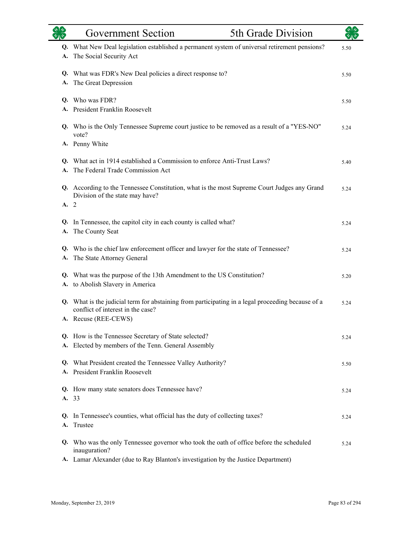|          | <b>Government Section</b>                                                                                                                                      | 5th Grade Division |      |
|----------|----------------------------------------------------------------------------------------------------------------------------------------------------------------|--------------------|------|
| Q.<br>А. | What New Deal legislation established a permanent system of universal retirement pensions?<br>The Social Security Act                                          |                    | 5.50 |
| Q.<br>A. | What was FDR's New Deal policies a direct response to?<br>The Great Depression                                                                                 |                    | 5.50 |
|          | Q. Who was FDR?<br>A. President Franklin Roosevelt                                                                                                             |                    | 5.50 |
|          | Q. Who is the Only Tennessee Supreme court justice to be removed as a result of a "YES-NO"<br>vote?                                                            |                    | 5.24 |
|          | A. Penny White                                                                                                                                                 |                    |      |
|          | Q. What act in 1914 established a Commission to enforce Anti-Trust Laws?<br>The Federal Trade Commission Act                                                   |                    | 5.40 |
| A.2      | Q. According to the Tennessee Constitution, what is the most Supreme Court Judges any Grand<br>Division of the state may have?                                 |                    | 5.24 |
| Q.<br>А. | In Tennessee, the capitol city in each county is called what?<br>The County Seat                                                                               |                    | 5.24 |
| А.       | Q. Who is the chief law enforcement officer and lawyer for the state of Tennessee?<br>The State Attorney General                                               |                    | 5.24 |
| Q.<br>А. | What was the purpose of the 13th Amendment to the US Constitution?<br>to Abolish Slavery in America                                                            |                    | 5.20 |
|          | Q. What is the judicial term for abstaining from participating in a legal proceeding because of a<br>conflict of interest in the case?<br>A. Recuse (REE-CEWS) |                    | 5.24 |
|          | Q. How is the Tennessee Secretary of State selected?<br>A. Elected by members of the Tenn. General Assembly                                                    |                    | 5.24 |
|          | Q. What President created the Tennessee Valley Authority?<br>A. President Franklin Roosevelt                                                                   |                    | 5.50 |
| Q.       | How many state senators does Tennessee have?<br>A. 33                                                                                                          |                    | 5.24 |
| Q.<br>A. | In Tennessee's counties, what official has the duty of collecting taxes?<br>Trustee                                                                            |                    | 5.24 |
|          | Q. Who was the only Tennessee governor who took the oath of office before the scheduled<br>inauguration?                                                       |                    | 5.24 |
|          | A. Lamar Alexander (due to Ray Blanton's investigation by the Justice Department)                                                                              |                    |      |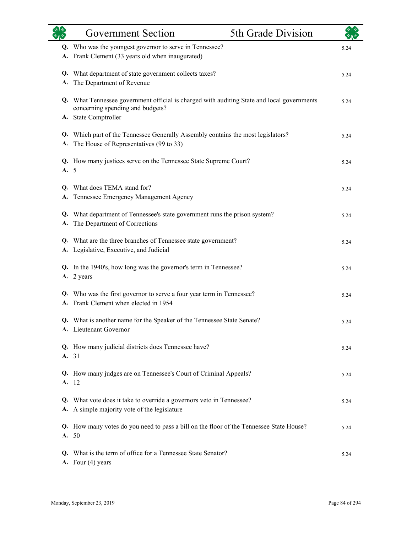|          | <b>Government Section</b>                                                                                                      | 5th Grade Division |      |
|----------|--------------------------------------------------------------------------------------------------------------------------------|--------------------|------|
|          | Q. Who was the youngest governor to serve in Tennessee?                                                                        |                    | 5.24 |
| А.       | Frank Clement (33 years old when inaugurated)                                                                                  |                    |      |
|          | Q. What department of state government collects taxes?                                                                         |                    | 5.24 |
| А.       | The Department of Revenue                                                                                                      |                    |      |
|          | Q. What Tennessee government official is charged with auditing State and local governments<br>concerning spending and budgets? |                    | 5.24 |
|          | A. State Comptroller                                                                                                           |                    |      |
| Q.<br>А. | Which part of the Tennessee Generally Assembly contains the most legislators?<br>The House of Representatives (99 to 33)       |                    | 5.24 |
| A.       | Q. How many justices serve on the Tennessee State Supreme Court?<br>- 5                                                        |                    | 5.24 |
| Q.       | What does TEMA stand for?                                                                                                      |                    | 5.24 |
| А.       | Tennessee Emergency Management Agency                                                                                          |                    |      |
| Q.<br>А. | What department of Tennessee's state government runs the prison system?<br>The Department of Corrections                       |                    | 5.24 |
| А.       | Q. What are the three branches of Tennessee state government?<br>Legislative, Executive, and Judicial                          |                    | 5.24 |
|          | Q. In the 1940's, how long was the governor's term in Tennessee?<br>A. 2 years                                                 |                    | 5.24 |
| Q.<br>A. | Who was the first governor to serve a four year term in Tennessee?<br>Frank Clement when elected in 1954                       |                    | 5.24 |
|          | Q. What is another name for the Speaker of the Tennessee State Senate?<br>A. Lieutenant Governor                               |                    | 5.24 |
|          | Q. How many judicial districts does Tennessee have?<br>A. 31                                                                   |                    | 5.24 |
|          | Q. How many judges are on Tennessee's Court of Criminal Appeals?<br>A. 12                                                      |                    | 5.24 |
| Q.<br>А. | What vote does it take to override a governors veto in Tennessee?<br>A simple majority vote of the legislature                 |                    | 5.24 |
|          | Q. How many votes do you need to pass a bill on the floor of the Tennessee State House?<br>A. 50                               |                    | 5.24 |
| O.       | What is the term of office for a Tennessee State Senator?<br>A. Four (4) years                                                 |                    | 5.24 |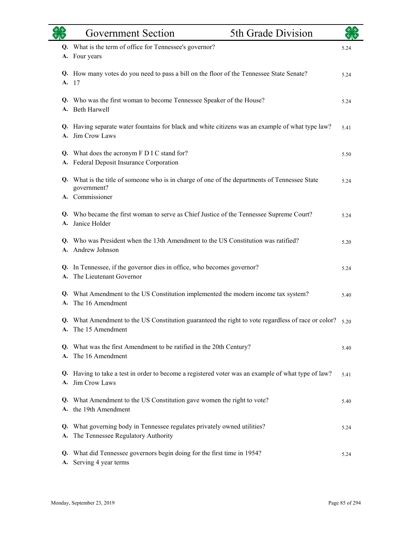|          | <b>Government Section</b>                                                                                                       | 5th Grade Division |      |
|----------|---------------------------------------------------------------------------------------------------------------------------------|--------------------|------|
|          | Q. What is the term of office for Tennessee's governor?<br>A. Four years                                                        |                    | 5.24 |
| A.       | Q. How many votes do you need to pass a bill on the floor of the Tennessee State Senate?<br>-17                                 |                    | 5.24 |
|          | Q. Who was the first woman to become Tennessee Speaker of the House?<br>A. Beth Harwell                                         |                    | 5.24 |
| A.       | Q. Having separate water fountains for black and white citizens was an example of what type law?<br>Jim Crow Laws               |                    | 5.41 |
|          | Q. What does the acronym F D I C stand for?<br>A. Federal Deposit Insurance Corporation                                         |                    | 5.50 |
|          | Q. What is the title of someone who is in charge of one of the departments of Tennessee State<br>government?<br>A. Commissioner |                    | 5.24 |
|          | Q. Who became the first woman to serve as Chief Justice of the Tennessee Supreme Court?<br>A. Janice Holder                     |                    | 5.24 |
|          | Q. Who was President when the 13th Amendment to the US Constitution was ratified?<br>A. Andrew Johnson                          |                    | 5.20 |
| А.       | Q. In Tennessee, if the governor dies in office, who becomes governor?<br>The Lieutenant Governor                               |                    | 5.24 |
|          | Q. What Amendment to the US Constitution implemented the modern income tax system?<br>A. The 16 Amendment                       |                    | 5.40 |
|          | Q. What Amendment to the US Constitution guaranteed the right to vote regardless of race or color? 5.20<br>A. The 15 Amendment  |                    |      |
|          | Q. What was the first Amendment to be ratified in the 20th Century?<br>A. The 16 Amendment                                      |                    | 5.40 |
| Q.<br>A. | Having to take a test in order to become a registered voter was an example of what type of law?<br>Jim Crow Laws                |                    | 5.41 |
|          | Q. What Amendment to the US Constitution gave women the right to vote?<br>A. the 19th Amendment                                 |                    | 5.40 |
| A.       | Q. What governing body in Tennessee regulates privately owned utilities?<br>The Tennessee Regulatory Authority                  |                    | 5.24 |
| Q.<br>А. | What did Tennessee governors begin doing for the first time in 1954?<br>Serving 4 year terms                                    |                    | 5.24 |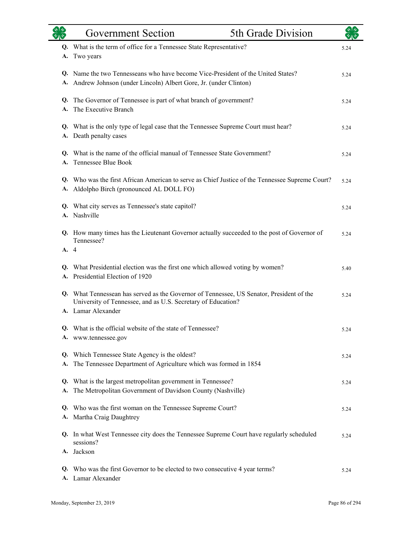|          | <b>Government Section</b>                                                                                                                           | 5th Grade Division |      |
|----------|-----------------------------------------------------------------------------------------------------------------------------------------------------|--------------------|------|
| Q.       | What is the term of office for a Tennessee State Representative?                                                                                    |                    | 5.24 |
| А.       | Two years                                                                                                                                           |                    |      |
| А.       | Q. Name the two Tennesseans who have become Vice-President of the United States?<br>Andrew Johnson (under Lincoln) Albert Gore, Jr. (under Clinton) |                    | 5.24 |
|          |                                                                                                                                                     |                    |      |
| Q.<br>A. | The Governor of Tennessee is part of what branch of government?<br>The Executive Branch                                                             |                    | 5.24 |
|          |                                                                                                                                                     |                    |      |
| Q.<br>A. | What is the only type of legal case that the Tennessee Supreme Court must hear?<br>Death penalty cases                                              |                    | 5.24 |
|          | Q. What is the name of the official manual of Tennessee State Government?                                                                           |                    |      |
| A.       | Tennessee Blue Book                                                                                                                                 |                    | 5.24 |
| Q.       | Who was the first African American to serve as Chief Justice of the Tennessee Supreme Court?                                                        |                    | 5.24 |
|          | A. Aldolpho Birch (pronounced AL DOLL FO)                                                                                                           |                    |      |
| Q.       | What city serves as Tennessee's state capitol?                                                                                                      |                    | 5.24 |
|          | A. Nashville                                                                                                                                        |                    |      |
|          | Q. How many times has the Lieutenant Governor actually succeeded to the post of Governor of                                                         |                    | 5.24 |
| A. 4     | Tennessee?                                                                                                                                          |                    |      |
|          |                                                                                                                                                     |                    |      |
| Q.<br>A. | What Presidential election was the first one which allowed voting by women?<br>Presidential Election of 1920                                        |                    | 5.40 |
|          | Q. What Tennessean has served as the Governor of Tennessee, US Senator, President of the                                                            |                    |      |
|          | University of Tennessee, and as U.S. Secretary of Education?                                                                                        |                    | 5.24 |
|          | A. Lamar Alexander                                                                                                                                  |                    |      |
|          | Q. What is the official website of the state of Tennessee?                                                                                          |                    | 5.24 |
|          | A. www.tennessee.gov                                                                                                                                |                    |      |
|          | Q. Which Tennessee State Agency is the oldest?                                                                                                      |                    | 5.24 |
| А.       | The Tennessee Department of Agriculture which was formed in 1854                                                                                    |                    |      |
| Q.<br>А. | What is the largest metropolitan government in Tennessee?<br>The Metropolitan Government of Davidson County (Nashville)                             |                    | 5.24 |
|          |                                                                                                                                                     |                    |      |
|          | Q. Who was the first woman on the Tennessee Supreme Court?<br>A. Martha Craig Daughtrey                                                             |                    | 5.24 |
|          |                                                                                                                                                     |                    |      |
|          | Q. In what West Tennessee city does the Tennessee Supreme Court have regularly scheduled<br>sessions?                                               |                    | 5.24 |
|          | A. Jackson                                                                                                                                          |                    |      |
| Q.       | Who was the first Governor to be elected to two consecutive 4 year terms?                                                                           |                    | 5.24 |
| А.       | Lamar Alexander                                                                                                                                     |                    |      |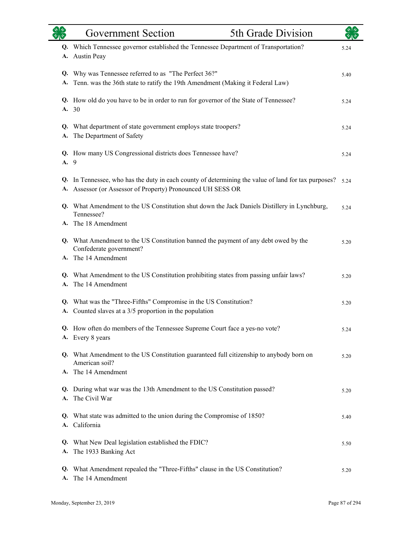|          | <b>Government Section</b>                                                                                                                                    | 5th Grade Division |      |
|----------|--------------------------------------------------------------------------------------------------------------------------------------------------------------|--------------------|------|
| A.       | Q. Which Tennessee governor established the Tennessee Department of Transportation?<br><b>Austin Peay</b>                                                    |                    | 5.24 |
| Q.<br>А. | Why was Tennessee referred to as "The Perfect 36?"<br>Tenn. was the 36th state to ratify the 19th Amendment (Making it Federal Law)                          |                    | 5.40 |
|          | Q. How old do you have to be in order to run for governor of the State of Tennessee?<br>A. 30                                                                |                    | 5.24 |
| Q.<br>А. | What department of state government employs state troopers?<br>The Department of Safety                                                                      |                    | 5.24 |
| A.       | Q. How many US Congressional districts does Tennessee have?<br>9                                                                                             |                    | 5.24 |
| Q.<br>A. | In Tennessee, who has the duty in each county of determining the value of land for tax purposes?<br>Assessor (or Assessor of Property) Pronounced UH SESS OR |                    | 5.24 |
| Q.       | What Amendment to the US Constitution shut down the Jack Daniels Distillery in Lynchburg,<br>Tennessee?                                                      |                    | 5.24 |
|          | A. The 18 Amendment<br>Q. What Amendment to the US Constitution banned the payment of any debt owed by the<br>Confederate government?<br>A. The 14 Amendment |                    | 5.20 |
| A.       | Q. What Amendment to the US Constitution prohibiting states from passing unfair laws?<br>The 14 Amendment                                                    |                    | 5.20 |
| Q.<br>A. | What was the "Three-Fifths" Compromise in the US Constitution?<br>Counted slaves at a 3/5 proportion in the population                                       |                    | 5.20 |
|          | Q. How often do members of the Tennessee Supreme Court face a yes-no vote?<br>A. Every 8 years                                                               |                    | 5.24 |
|          | Q. What Amendment to the US Constitution guaranteed full citizenship to anybody born on<br>American soil?<br>A. The 14 Amendment                             |                    | 5.20 |
|          | Q. During what war was the 13th Amendment to the US Constitution passed?<br>A. The Civil War                                                                 |                    | 5.20 |
|          | Q. What state was admitted to the union during the Compromise of 1850?<br>A. California                                                                      |                    | 5.40 |
|          | Q. What New Deal legislation established the FDIC?<br>A. The 1933 Banking Act                                                                                |                    | 5.50 |
|          | Q. What Amendment repealed the "Three-Fifths" clause in the US Constitution?<br>A. The 14 Amendment                                                          |                    | 5.20 |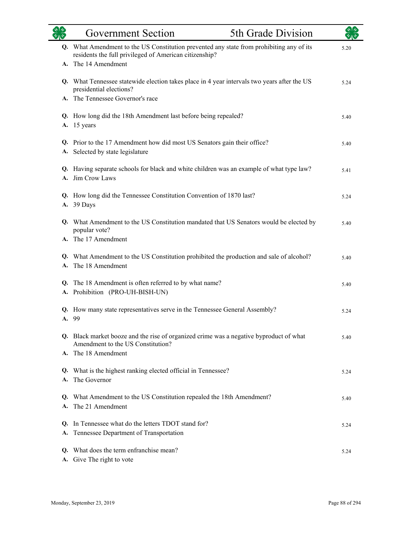|    | <b>Government Section</b>                                                                                                                                                 | 5th Grade Division |      |
|----|---------------------------------------------------------------------------------------------------------------------------------------------------------------------------|--------------------|------|
|    | Q. What Amendment to the US Constitution prevented any state from prohibiting any of its<br>residents the full privileged of American citizenship?<br>A. The 14 Amendment |                    | 5.20 |
|    |                                                                                                                                                                           |                    |      |
|    | Q. What Tennessee statewide election takes place in 4 year intervals two years after the US<br>presidential elections?                                                    |                    | 5.24 |
|    | A. The Tennessee Governor's race                                                                                                                                          |                    |      |
|    | Q. How long did the 18th Amendment last before being repealed?<br>A. 15 years                                                                                             |                    |      |
| А. | Q. Prior to the 17 Amendment how did most US Senators gain their office?<br>Selected by state legislature                                                                 |                    | 5.40 |
|    | Q. Having separate schools for black and white children was an example of what type law?<br>A. Jim Crow Laws                                                              |                    | 5.41 |
|    | Q. How long did the Tennessee Constitution Convention of 1870 last?<br>A. 39 Days                                                                                         |                    | 5.24 |
|    | Q. What Amendment to the US Constitution mandated that US Senators would be elected by<br>popular vote?                                                                   |                    | 5.40 |
|    | A. The 17 Amendment                                                                                                                                                       |                    |      |
| A. | Q. What Amendment to the US Constitution prohibited the production and sale of alcohol?<br>The 18 Amendment                                                               |                    | 5.40 |
|    | Q. The 18 Amendment is often referred to by what name?<br>A. Prohibition (PRO-UH-BISH-UN)                                                                                 |                    | 5.40 |
|    | Q. How many state representatives serve in the Tennessee General Assembly?<br>A. 99                                                                                       |                    | 5.24 |
|    | Q. Black market booze and the rise of organized crime was a negative byproduct of what<br>Amendment to the US Constitution?                                               |                    | 5.40 |
|    | A. The 18 Amendment                                                                                                                                                       |                    |      |
| A. | Q. What is the highest ranking elected official in Tennessee?<br>The Governor                                                                                             |                    | 5.24 |
|    | Q. What Amendment to the US Constitution repealed the 18th Amendment?<br>A. The 21 Amendment                                                                              |                    | 5.40 |
| A. | Q. In Tennessee what do the letters TDOT stand for?<br>Tennessee Department of Transportation                                                                             |                    | 5.24 |
| Q. | What does the term enfranchise mean?<br>A. Give The right to vote                                                                                                         |                    | 5.24 |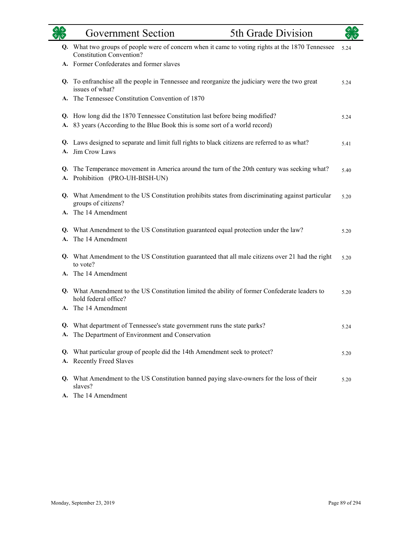| $\sqrt[4]{3}$ | <b>Government Section</b>                                                                                                           | 5th Grade Division |      |
|---------------|-------------------------------------------------------------------------------------------------------------------------------------|--------------------|------|
|               | Q. What two groups of people were of concern when it came to voting rights at the 1870 Tennessee<br><b>Constitution Convention?</b> |                    | 5.24 |
|               | A. Former Confederates and former slaves                                                                                            |                    |      |
|               | Q. To enfranchise all the people in Tennessee and reorganize the judiciary were the two great<br>issues of what?                    |                    | 5.24 |
|               | A. The Tennessee Constitution Convention of 1870                                                                                    |                    |      |
|               | Q. How long did the 1870 Tennessee Constitution last before being modified?                                                         |                    | 5.24 |
|               | A. 83 years (According to the Blue Book this is some sort of a world record)                                                        |                    |      |
|               | Q. Laws designed to separate and limit full rights to black citizens are referred to as what?<br>A. Jim Crow Laws                   |                    | 5.41 |
| Q.<br>A.      | The Temperance movement in America around the turn of the 20th century was seeking what?<br>Prohibition (PRO-UH-BISH-UN)            |                    | 5.40 |
|               | Q. What Amendment to the US Constitution prohibits states from discriminating against particular<br>groups of citizens?             |                    | 5.20 |
|               | A. The 14 Amendment                                                                                                                 |                    |      |
|               | Q. What Amendment to the US Constitution guaranteed equal protection under the law?<br>A. The 14 Amendment                          |                    | 5.20 |
|               | Q. What Amendment to the US Constitution guaranteed that all male citizens over 21 had the right<br>to vote?                        |                    | 5.20 |
|               | A. The 14 Amendment                                                                                                                 |                    |      |
|               | Q. What Amendment to the US Constitution limited the ability of former Confederate leaders to<br>hold federal office?               |                    | 5.20 |
|               | A. The 14 Amendment                                                                                                                 |                    |      |
|               | Q. What department of Tennessee's state government runs the state parks?                                                            |                    | 5.24 |
|               | A. The Department of Environment and Conservation                                                                                   |                    |      |
|               | Q. What particular group of people did the 14th Amendment seek to protect?                                                          |                    | 5.20 |
|               | A. Recently Freed Slaves                                                                                                            |                    |      |
|               | Q. What Amendment to the US Constitution banned paying slave-owners for the loss of their<br>slaves?                                |                    | 5.20 |
|               | A. The 14 Amendment                                                                                                                 |                    |      |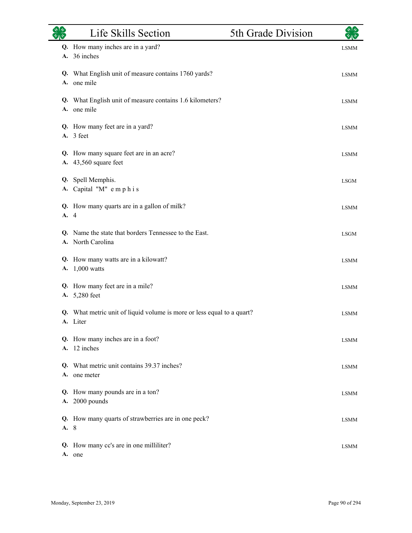|            | Life Skills Section                                                                | 5th Grade Division |             |
|------------|------------------------------------------------------------------------------------|--------------------|-------------|
| А.         | Q. How many inches are in a yard?<br>36 inches                                     |                    | <b>LSMM</b> |
|            | Q. What English unit of measure contains 1760 yards?<br>A. one mile                |                    | <b>LSMM</b> |
|            | Q. What English unit of measure contains 1.6 kilometers?<br>A. one mile            |                    | <b>LSMM</b> |
|            | Q. How many feet are in a yard?<br>A. 3 feet                                       |                    | <b>LSMM</b> |
|            | Q. How many square feet are in an acre?<br>A. 43,560 square feet                   |                    | <b>LSMM</b> |
| Q.         | Spell Memphis.<br>A. Capital "M" emphis                                            |                    | <b>LSGM</b> |
| Q.<br>A. 4 | How many quarts are in a gallon of milk?                                           |                    | <b>LSMM</b> |
| Q.         | Name the state that borders Tennessee to the East.<br>A. North Carolina            |                    | <b>LSGM</b> |
| А.         | Q. How many watts are in a kilowatt?<br>$1,000$ watts                              |                    | <b>LSMM</b> |
|            | Q. How many feet are in a mile?<br>A. 5,280 feet                                   |                    | <b>LSMM</b> |
|            | Q. What metric unit of liquid volume is more or less equal to a quart?<br>A. Liter |                    | <b>LSMM</b> |
|            | Q. How many inches are in a foot?<br>A. 12 inches                                  |                    | <b>LSMM</b> |
| O.         | What metric unit contains 39.37 inches?<br>A. one meter                            |                    | <b>LSMM</b> |
|            | Q. How many pounds are in a ton?<br>A. 2000 pounds                                 |                    | <b>LSMM</b> |
| A. 8       | Q. How many quarts of strawberries are in one peck?                                |                    | <b>LSMM</b> |
| А.         | Q. How many cc's are in one milliliter?<br>one                                     |                    | <b>LSMM</b> |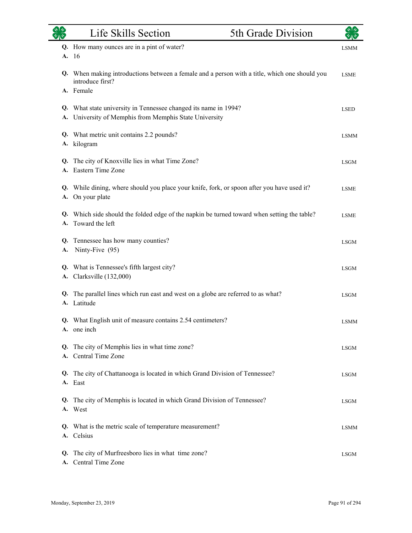|    | Life Skills Section                                                                           | 5th Grade Division |             |
|----|-----------------------------------------------------------------------------------------------|--------------------|-------------|
|    | Q. How many ounces are in a pint of water?                                                    |                    | <b>LSMM</b> |
|    | A. 16                                                                                         |                    |             |
|    | Q. When making introductions between a female and a person with a title, which one should you |                    | <b>LSME</b> |
|    | introduce first?<br>A. Female                                                                 |                    |             |
|    | Q. What state university in Tennessee changed its name in 1994?                               |                    | <b>LSED</b> |
|    | A. University of Memphis from Memphis State University                                        |                    |             |
|    | Q. What metric unit contains 2.2 pounds?                                                      |                    | <b>LSMM</b> |
| А. | kilogram                                                                                      |                    |             |
|    | Q. The city of Knoxville lies in what Time Zone?                                              |                    | <b>LSGM</b> |
|    | A. Eastern Time Zone                                                                          |                    |             |
|    | Q. While dining, where should you place your knife, fork, or spoon after you have used it?    |                    | <b>LSME</b> |
|    | A. On your plate                                                                              |                    |             |
| Q. | Which side should the folded edge of the napkin be turned toward when setting the table?      |                    | <b>LSME</b> |
| А. | Toward the left                                                                               |                    |             |
|    | Q. Tennessee has how many counties?                                                           |                    | <b>LSGM</b> |
| А. | Ninty-Five (95)                                                                               |                    |             |
|    | Q. What is Tennessee's fifth largest city?                                                    |                    | <b>LSGM</b> |
| А. | Clarksville (132,000)                                                                         |                    |             |
| Q. | The parallel lines which run east and west on a globe are referred to as what?                |                    | <b>LSGM</b> |
| А. | Latitude                                                                                      |                    |             |
|    | Q. What English unit of measure contains 2.54 centimeters?                                    |                    | <b>LSMM</b> |
|    | A. one inch                                                                                   |                    |             |
|    | Q. The city of Memphis lies in what time zone?                                                |                    | <b>LSGM</b> |
|    | A. Central Time Zone                                                                          |                    |             |
| Q. | The city of Chattanooga is located in which Grand Division of Tennessee?                      |                    | <b>LSGM</b> |
|    | A. East                                                                                       |                    |             |
| Q. | The city of Memphis is located in which Grand Division of Tennessee?                          |                    | <b>LSGM</b> |
|    | A. West                                                                                       |                    |             |
|    | Q. What is the metric scale of temperature measurement?                                       |                    | <b>LSMM</b> |
|    | A. Celsius                                                                                    |                    |             |
| Q. | The city of Murfreesboro lies in what time zone?                                              |                    | <b>LSGM</b> |
|    | A. Central Time Zone                                                                          |                    |             |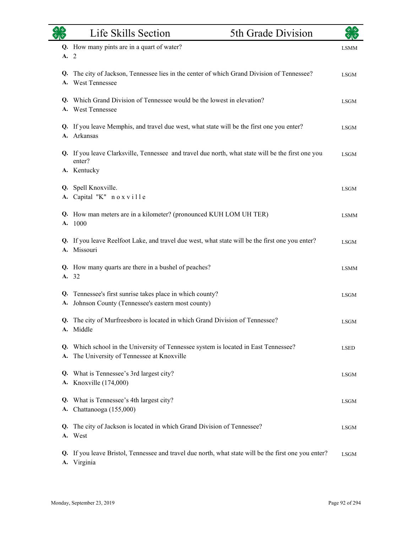| $\overline{\mathscr{C}}$ | Life Skills Section                                                                                                          | 5th Grade Division |             |
|--------------------------|------------------------------------------------------------------------------------------------------------------------------|--------------------|-------------|
|                          | Q. How many pints are in a quart of water?                                                                                   |                    | <b>LSMM</b> |
| A.                       | 2                                                                                                                            |                    |             |
| Q.<br>A.                 | The city of Jackson, Tennessee lies in the center of which Grand Division of Tennessee?<br>West Tennessee                    |                    | <b>LSGM</b> |
|                          | Q. Which Grand Division of Tennessee would be the lowest in elevation?<br>A. West Tennessee                                  |                    | <b>LSGM</b> |
| А.                       | Q. If you leave Memphis, and travel due west, what state will be the first one you enter?<br>Arkansas                        |                    | <b>LSGM</b> |
|                          | Q. If you leave Clarksville, Tennessee and travel due north, what state will be the first one you<br>enter?<br>A. Kentucky   |                    | <b>LSGM</b> |
|                          | Q. Spell Knoxville.<br>A. Capital "K" noxville                                                                               |                    | <b>LSGM</b> |
|                          | Q. How man meters are in a kilometer? (pronounced KUH LOM UH TER)<br>A. 1000                                                 |                    | <b>LSMM</b> |
|                          | Q. If you leave Reelfoot Lake, and travel due west, what state will be the first one you enter?<br>A. Missouri               |                    | <b>LSGM</b> |
|                          | Q. How many quarts are there in a bushel of peaches?<br>A. 32                                                                |                    | <b>LSMM</b> |
| Q.<br>А.                 | Tennessee's first sunrise takes place in which county?<br>Johnson County (Tennessee's eastern most county)                   |                    | <b>LSGM</b> |
| Q.                       | The city of Murfreesboro is located in which Grand Division of Tennessee?<br>A. Middle                                       |                    | <b>LSGM</b> |
| Q.<br>A.                 | Which school in the University of Tennessee system is located in East Tennessee?<br>The University of Tennessee at Knoxville |                    | <b>LSED</b> |
| Q.                       | What is Tennessee's 3rd largest city?<br>A. Knoxville (174,000)                                                              |                    | <b>LSGM</b> |
| Q.                       | What is Tennessee's 4th largest city?<br>A. Chattanooga (155,000)                                                            |                    | <b>LSGM</b> |
| Q.                       | The city of Jackson is located in which Grand Division of Tennessee?<br>A. West                                              |                    | <b>LSGM</b> |
| Q.<br><b>A.</b>          | If you leave Bristol, Tennessee and travel due north, what state will be the first one you enter?<br>Virginia                |                    | <b>LSGM</b> |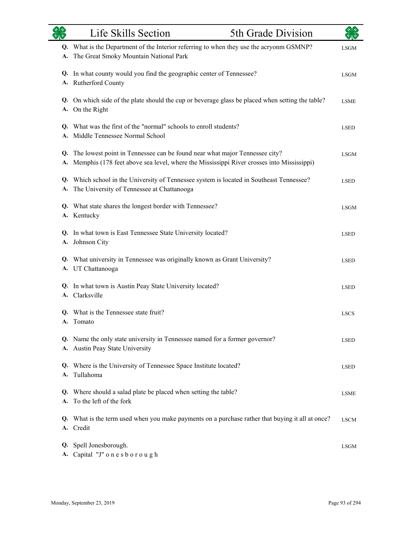| 70 <sup>o</sup> | Life Skills Section                                                                                                                                                       | 5th Grade Division |             |
|-----------------|---------------------------------------------------------------------------------------------------------------------------------------------------------------------------|--------------------|-------------|
| Q.<br>А.        | What is the Department of the Interior referring to when they use the acryonm GSMNP?<br>The Great Smoky Mountain National Park                                            |                    | <b>LSGM</b> |
| A.              | Q. In what county would you find the geographic center of Tennessee?<br>Rutherford County                                                                                 |                    | <b>LSGM</b> |
|                 | Q. On which side of the plate should the cup or beverage glass be placed when setting the table?<br>A. On the Right                                                       |                    | <b>LSME</b> |
| Q.<br>A.        | What was the first of the "normal" schools to enroll students?<br>Middle Tennessee Normal School                                                                          |                    | <b>LSED</b> |
| А.              | Q. The lowest point in Tennessee can be found near what major Tennessee city?<br>Memphis (178 feet above sea level, where the Mississippi River crosses into Mississippi) |                    | <b>LSGM</b> |
| Q.<br>A.        | Which school in the University of Tennessee system is located in Southeast Tennessee?<br>The University of Tennessee at Chattanooga                                       |                    | <b>LSED</b> |
|                 | Q. What state shares the longest border with Tennessee?<br>A. Kentucky                                                                                                    |                    | <b>LSGM</b> |
| Q.<br>А.        | In what town is East Tennessee State University located?<br>Johnson City                                                                                                  |                    | <b>LSED</b> |
| Q.              | What university in Tennessee was originally known as Grant University?<br>A. UT Chattanooga                                                                               |                    | <b>LSED</b> |
|                 | Q. In what town is Austin Peay State University located?<br>A. Clarksville                                                                                                |                    | <b>LSED</b> |
|                 | Q. What is the Tennessee state fruit?<br>A. Tomato                                                                                                                        |                    | <b>LSCS</b> |
|                 | Q. Name the only state university in Tennessee named for a former governor?<br>A. Austin Peay State University                                                            |                    | <b>LSED</b> |
| Q.<br>A.        | Where is the University of Tennessee Space Institute located?<br>Tullahoma                                                                                                |                    | <b>LSED</b> |
| Q.<br>A.        | Where should a salad plate be placed when setting the table?<br>To the left of the fork                                                                                   |                    | <b>LSME</b> |
|                 | Q. What is the term used when you make payments on a purchase rather that buying it all at once?<br>A. Credit                                                             |                    | <b>LSCM</b> |
| Q.              | Spell Jonesborough.<br>A. Capital "J" onesborough                                                                                                                         |                    | <b>LSGM</b> |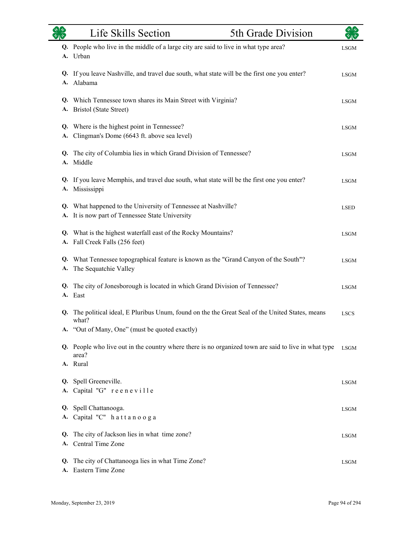| <b>ORS</b> | Life Skills Section                                                                                                                                    | 5th Grade Division | $\sqrt{3}$  |
|------------|--------------------------------------------------------------------------------------------------------------------------------------------------------|--------------------|-------------|
|            | Q. People who live in the middle of a large city are said to live in what type area?<br>A. Urban                                                       |                    | <b>LSGM</b> |
|            | Q. If you leave Nashville, and travel due south, what state will be the first one you enter?<br>A. Alabama                                             |                    | <b>LSGM</b> |
|            | Q. Which Tennessee town shares its Main Street with Virginia?<br>A. Bristol (State Street)                                                             |                    | <b>LSGM</b> |
|            | Q. Where is the highest point in Tennessee?<br>A. Clingman's Dome (6643 ft. above sea level)                                                           |                    | <b>LSGM</b> |
| Q.         | The city of Columbia lies in which Grand Division of Tennessee?<br>A. Middle                                                                           |                    | <b>LSGM</b> |
|            | Q. If you leave Memphis, and travel due south, what state will be the first one you enter?<br>A. Mississippi                                           |                    | <b>LSGM</b> |
|            | Q. What happened to the University of Tennessee at Nashville?<br>A. It is now part of Tennessee State University                                       |                    | <b>LSED</b> |
| A.         | Q. What is the highest waterfall east of the Rocky Mountains?<br>Fall Creek Falls (256 feet)                                                           |                    | <b>LSGM</b> |
| А.         | Q. What Tennessee topographical feature is known as the "Grand Canyon of the South"?<br>The Sequatchie Valley                                          |                    | <b>LSGM</b> |
| Q.         | The city of Jonesborough is located in which Grand Division of Tennessee?<br>A. East                                                                   |                    | <b>LSGM</b> |
| Q.         | The political ideal, E Pluribus Unum, found on the the Great Seal of the United States, means<br>what?                                                 |                    | <b>LSCS</b> |
|            | A. "Out of Many, One" (must be quoted exactly)<br>Q. People who live out in the country where there is no organized town are said to live in what type |                    | <b>LSGM</b> |
|            | area?<br>A. Rural                                                                                                                                      |                    |             |
|            | Q. Spell Greeneville.<br>A. Capital "G" reeneville                                                                                                     |                    | <b>LSGM</b> |
| Q.         | Spell Chattanooga.<br>A. Capital "C" hattanooga                                                                                                        |                    | LSGM        |
| Q.         | The city of Jackson lies in what time zone?<br>A. Central Time Zone                                                                                    |                    | LSGM        |
| Q.<br>A.   | The city of Chattanooga lies in what Time Zone?<br>Eastern Time Zone                                                                                   |                    | <b>LSGM</b> |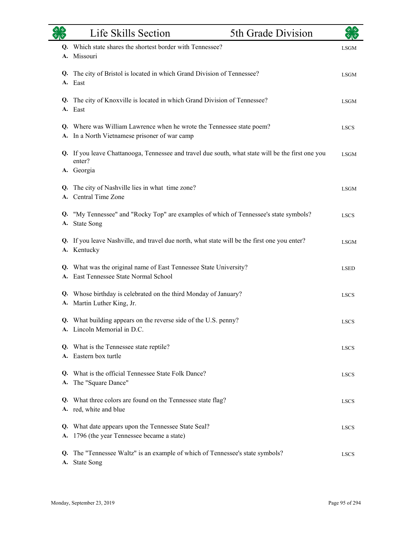|          | Life Skills Section                                                                                                       | 5th Grade Division |             |
|----------|---------------------------------------------------------------------------------------------------------------------------|--------------------|-------------|
|          | Q. Which state shares the shortest border with Tennessee?<br>A. Missouri                                                  |                    | <b>LSGM</b> |
|          | Q. The city of Bristol is located in which Grand Division of Tennessee?<br>A. East                                        |                    | <b>LSGM</b> |
|          | Q. The city of Knoxville is located in which Grand Division of Tennessee?<br>A. East                                      |                    | <b>LSGM</b> |
|          | Q. Where was William Lawrence when he wrote the Tennessee state poem?<br>A. In a North Vietnamese prisoner of war camp    |                    | <b>LSCS</b> |
|          | Q. If you leave Chattanooga, Tennessee and travel due south, what state will be the first one you<br>enter?<br>A. Georgia |                    | <b>LSGM</b> |
|          | Q. The city of Nashville lies in what time zone?<br>A. Central Time Zone                                                  |                    | <b>LSGM</b> |
|          | Q. "My Tennessee" and "Rocky Top" are examples of which of Tennessee's state symbols?<br>A. State Song                    |                    | <b>LSCS</b> |
|          | Q. If you leave Nashville, and travel due north, what state will be the first one you enter?<br>A. Kentucky               |                    | <b>LSGM</b> |
|          | Q. What was the original name of East Tennessee State University?<br>A. East Tennessee State Normal School                |                    | <b>LSED</b> |
|          | Q. Whose birthday is celebrated on the third Monday of January?<br>A. Martin Luther King, Jr.                             |                    | <b>LSCS</b> |
|          | Q. What building appears on the reverse side of the U.S. penny?<br>A. Lincoln Memorial in D.C.                            |                    | <b>LSCS</b> |
|          | Q. What is the Tennessee state reptile?<br>A. Eastern box turtle                                                          |                    | <b>LSCS</b> |
|          | Q. What is the official Tennessee State Folk Dance?<br>A. The "Square Dance"                                              |                    | <b>LSCS</b> |
|          | Q. What three colors are found on the Tennessee state flag?<br>A. red, white and blue                                     |                    | <b>LSCS</b> |
|          | Q. What date appears upon the Tennessee State Seal?<br>A. 1796 (the year Tennessee became a state)                        |                    | <b>LSCS</b> |
| Q.<br>А. | The "Tennessee Waltz" is an example of which of Tennessee's state symbols?<br><b>State Song</b>                           |                    | <b>LSCS</b> |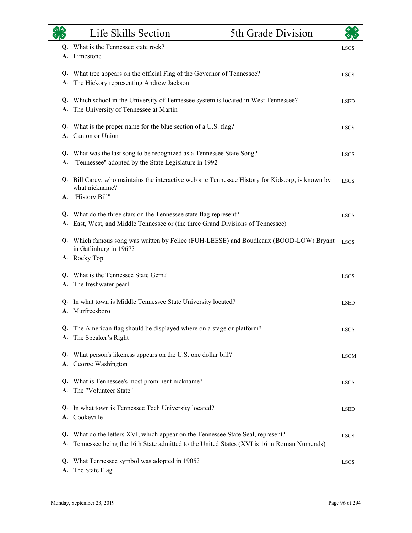|          | Life Skills Section                                                                                                                                                         | 5th Grade Division |             |
|----------|-----------------------------------------------------------------------------------------------------------------------------------------------------------------------------|--------------------|-------------|
|          | Q. What is the Tennessee state rock?<br>A. Limestone                                                                                                                        |                    | <b>LSCS</b> |
| Q.<br>A. | What tree appears on the official Flag of the Governor of Tennessee?<br>The Hickory representing Andrew Jackson                                                             |                    | <b>LSCS</b> |
| А.       | Q. Which school in the University of Tennessee system is located in West Tennessee?<br>The University of Tennessee at Martin                                                |                    | <b>LSED</b> |
| Q.<br>A. | What is the proper name for the blue section of a U.S. flag?<br>Canton or Union                                                                                             |                    | <b>LSCS</b> |
| А.       | Q. What was the last song to be recognized as a Tennessee State Song?<br>"Tennessee" adopted by the State Legislature in 1992                                               |                    | <b>LSCS</b> |
|          | Q. Bill Carey, who maintains the interactive web site Tennessee History for Kids.org, is known by<br>what nickname?                                                         |                    | <b>LSCS</b> |
|          | A. "History Bill"<br>Q. What do the three stars on the Tennessee state flag represent?<br>A. East, West, and Middle Tennessee or (the three Grand Divisions of Tennessee)   |                    | <b>LSCS</b> |
|          | Q. Which famous song was written by Felice (FUH-LEESE) and Boudleaux (BOOD-LOW) Bryant<br>in Gatlinburg in 1967?                                                            |                    | <b>LSCS</b> |
|          | A. Rocky Top                                                                                                                                                                |                    |             |
| Q.<br>A. | What is the Tennessee State Gem?<br>The freshwater pearl                                                                                                                    |                    | <b>LSCS</b> |
| Q.<br>А. | In what town is Middle Tennessee State University located?<br>Murfreesboro                                                                                                  |                    | <b>LSED</b> |
| А.       | Q. The American flag should be displayed where on a stage or platform?<br>The Speaker's Right                                                                               |                    | <b>LSCS</b> |
| Q.<br>А. | What person's likeness appears on the U.S. one dollar bill?<br>George Washington                                                                                            |                    | <b>LSCM</b> |
| Q.       | What is Tennessee's most prominent nickname?<br>A. The "Volunteer State"                                                                                                    |                    | <b>LSCS</b> |
| Q.       | In what town is Tennessee Tech University located?<br>A. Cookeville                                                                                                         |                    | <b>LSED</b> |
| Q.<br>А. | What do the letters XVI, which appear on the Tennessee State Seal, represent?<br>Tennessee being the 16th State admitted to the United States (XVI is 16 in Roman Numerals) |                    | <b>LSCS</b> |
| Q.<br>А. | What Tennessee symbol was adopted in 1905?<br>The State Flag                                                                                                                |                    | <b>LSCS</b> |

and a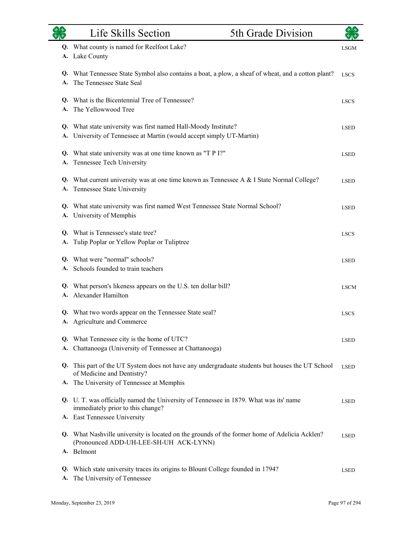| $\sqrt[3]{2}$<br>多心 | Life Skills Section<br>5th Grade Division                                                                                                                               |             |
|---------------------|-------------------------------------------------------------------------------------------------------------------------------------------------------------------------|-------------|
| А.                  | Q. What county is named for Reelfoot Lake?<br>Lake County                                                                                                               | <b>LSGM</b> |
| A.                  | Q. What Tennessee State Symbol also contains a boat, a plow, a sheaf of wheat, and a cotton plant?<br>The Tennessee State Seal                                          | <b>LSCS</b> |
| A.                  | <b>Q.</b> What is the Bicentennial Tree of Tennessee?<br>The Yellowwood Tree                                                                                            | <b>LSCS</b> |
| А.                  | Q. What state university was first named Hall-Moody Institute?<br>University of Tennessee at Martin (would accept simply UT-Martin)                                     | <b>LSED</b> |
| А.                  | Q. What state university was at one time known as "T P I?"<br>Tennessee Tech University                                                                                 | <b>LSED</b> |
| Q.<br>A.            | What current university was at one time known as Tennessee A & I State Normal College?<br>Tennessee State University                                                    | <b>LSED</b> |
|                     | Q. What state university was first named West Tennessee State Normal School?<br>A. University of Memphis                                                                | <b>LSED</b> |
| А.                  | Q. What is Tennessee's state tree?<br>Tulip Poplar or Yellow Poplar or Tuliptree                                                                                        | <b>LSCS</b> |
|                     | Q. What were "normal" schools?<br>Schools founded to train teachers                                                                                                     | <b>LSED</b> |
|                     | Q. What person's likeness appears on the U.S. ten dollar bill?<br>A. Alexander Hamilton                                                                                 | <b>LSCM</b> |
|                     | Q. What two words appear on the Tennessee State seal?<br>A. Agriculture and Commerce                                                                                    | <b>LSCS</b> |
|                     | Q. What Tennessee city is the home of UTC?<br>A. Chattanooga (University of Tennessee at Chattanooga)                                                                   | <b>LSED</b> |
| Q.                  | This part of the UT System does not have any undergraduate students but houses the UT School<br>of Medicine and Dentistry?                                              | <b>LSED</b> |
|                     | A. The University of Tennessee at Memphis<br>Q. U. T. was officially named the University of Tennessee in 1879. What was its' name<br>immediately prior to this change? | <b>LSED</b> |
|                     | A. East Tennessee University                                                                                                                                            |             |
|                     | Q. What Nashville university is located on the grounds of the former home of Adelicia Acklen?<br>(Pronounced ADD-UH-LEE-SH-UH ACK-LYNN)<br>A. Belmont                   | <b>LSED</b> |
| Q.<br>А.            | Which state university traces its origins to Blount College founded in 1794?<br>The University of Tennessee                                                             | <b>LSED</b> |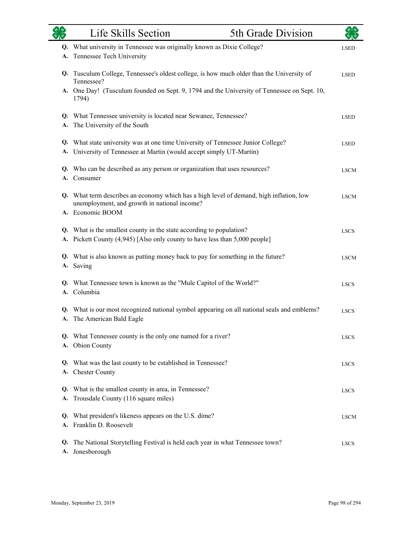| 外交<br>$\overline{\mathscr{C}}$ $\overline{\mathscr{C}}$ | Life Skills Section                                                                                                                                 | 5th Grade Division |             |
|---------------------------------------------------------|-----------------------------------------------------------------------------------------------------------------------------------------------------|--------------------|-------------|
|                                                         | Q. What university in Tennessee was originally known as Dixie College?                                                                              |                    | <b>LSED</b> |
| А.                                                      | Tennessee Tech University                                                                                                                           |                    |             |
|                                                         | Q. Tusculum College, Tennessee's oldest college, is how much older than the University of<br>Tennessee?                                             |                    | <b>LSED</b> |
|                                                         | A. One Day! (Tusculum founded on Sept. 9, 1794 and the University of Tennessee on Sept. 10,<br>1794)                                                |                    |             |
|                                                         | Q. What Tennessee university is located near Sewanee, Tennessee?<br>A. The University of the South                                                  |                    | <b>LSED</b> |
|                                                         | Q. What state university was at one time University of Tennessee Junior College?                                                                    |                    | <b>LSED</b> |
|                                                         | A. University of Tennessee at Martin (would accept simply UT-Martin)                                                                                |                    |             |
|                                                         | Q. Who can be described as any person or organization that uses resources?<br>A. Consumer                                                           |                    | <b>LSCM</b> |
|                                                         | Q. What term describes an economy which has a high level of demand, high inflation, low<br>unemployment, and growth in national income?             |                    | <b>LSCM</b> |
|                                                         | A. Economic BOOM                                                                                                                                    |                    |             |
|                                                         | Q. What is the smallest county in the state according to population?<br>A. Pickett County (4,945) [Also only county to have less than 5,000 people] |                    | <b>LSCS</b> |
|                                                         | Q. What is also known as putting money back to pay for something in the future?<br>A. Saving                                                        |                    | <b>LSCM</b> |
|                                                         | Q. What Tennessee town is known as the "Mule Capitol of the World?"<br>A. Columbia                                                                  |                    | <b>LSCS</b> |
|                                                         | Q. What is our most recognized national symbol appearing on all national seals and emblems?<br>A. The American Bald Eagle                           |                    | <b>LSCS</b> |
|                                                         | Q. What Tennessee county is the only one named for a river?<br>A. Obion County                                                                      |                    | <b>LSCS</b> |
|                                                         | Q. What was the last county to be established in Tennessee?<br>A. Chester County                                                                    |                    | <b>LSCS</b> |
| Q.<br>А.                                                | What is the smallest county in area, in Tennessee?<br>Trousdale County (116 square miles)                                                           |                    | <b>LSCS</b> |
| Q.<br>A.                                                | What president's likeness appears on the U.S. dime?<br>Franklin D. Roosevelt                                                                        |                    | <b>LSCM</b> |
| Q.<br>А.                                                | The National Storytelling Festival is held each year in what Tennessee town?<br>Jonesborough                                                        |                    | <b>LSCS</b> |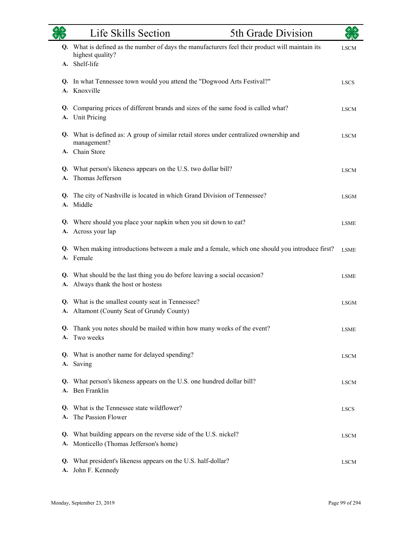|          | Life Skills Section                                                                                                               | 5th Grade Division |             |
|----------|-----------------------------------------------------------------------------------------------------------------------------------|--------------------|-------------|
| Q.       | What is defined as the number of days the manufacturers feel their product will maintain its<br>highest quality?<br>A. Shelf-life |                    | <b>LSCM</b> |
| A.       | Q. In what Tennessee town would you attend the "Dogwood Arts Festival?"<br>Knoxville                                              |                    | <b>LSCS</b> |
| Q.<br>A. | Comparing prices of different brands and sizes of the same food is called what?<br><b>Unit Pricing</b>                            |                    | <b>LSCM</b> |
|          | Q. What is defined as: A group of similar retail stores under centralized ownership and<br>management?<br>A. Chain Store          |                    | <b>LSCM</b> |
| Q.<br>A. | What person's likeness appears on the U.S. two dollar bill?<br>Thomas Jefferson                                                   |                    | <b>LSCM</b> |
| Q.<br>A. | The city of Nashville is located in which Grand Division of Tennessee?<br>Middle                                                  |                    | <b>LSGM</b> |
| Q.<br>А. | Where should you place your napkin when you sit down to eat?<br>Across your lap                                                   |                    | <b>LSME</b> |
| Q.       | When making introductions between a male and a female, which one should you introduce first?<br>A. Female                         |                    | <b>LSME</b> |
| Q.<br>А. | What should be the last thing you do before leaving a social occasion?<br>Always thank the host or hostess                        |                    | <b>LSME</b> |
| Q.<br>A. | What is the smallest county seat in Tennessee?<br>Altamont (County Seat of Grundy County)                                         |                    | <b>LSGM</b> |
| Q.<br>A. | Thank you notes should be mailed within how many weeks of the event?<br>Two weeks                                                 |                    | <b>LSME</b> |
|          | Q. What is another name for delayed spending?<br>A. Saving                                                                        |                    | <b>LSCM</b> |
| Q.       | What person's likeness appears on the U.S. one hundred dollar bill?<br>A. Ben Franklin                                            |                    | <b>LSCM</b> |
| A.       | Q. What is the Tennessee state wildflower?<br>The Passion Flower                                                                  |                    | <b>LSCS</b> |
| А.       | Q. What building appears on the reverse side of the U.S. nickel?<br>Monticello (Thomas Jefferson's home)                          |                    | <b>LSCM</b> |
| Q.       | What president's likeness appears on the U.S. half-dollar?<br>A. John F. Kennedy                                                  |                    | <b>LSCM</b> |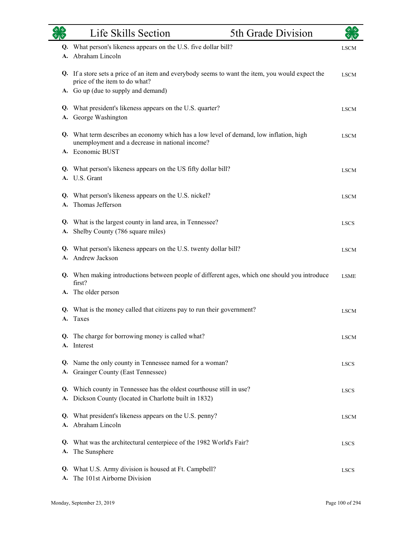|          | Life Skills Section                                                                                                                                                      | 5th Grade Division |             |
|----------|--------------------------------------------------------------------------------------------------------------------------------------------------------------------------|--------------------|-------------|
| Q.       | What person's likeness appears on the U.S. five dollar bill?<br>Abraham Lincoln                                                                                          |                    | <b>LSCM</b> |
|          | Q. If a store sets a price of an item and everybody seems to want the item, you would expect the<br>price of the item to do what?<br>A. Go up (due to supply and demand) |                    | <b>LSCM</b> |
| Q.<br>А. | What president's likeness appears on the U.S. quarter?<br>George Washington                                                                                              |                    | <b>LSCM</b> |
|          | Q. What term describes an economy which has a low level of demand, low inflation, high<br>unemployment and a decrease in national income?<br>A. Economic BUST            |                    | <b>LSCM</b> |
|          | Q. What person's likeness appears on the US fifty dollar bill?<br>A. U.S. Grant                                                                                          |                    | <b>LSCM</b> |
| Q.<br>A. | What person's likeness appears on the U.S. nickel?<br>Thomas Jefferson                                                                                                   |                    | <b>LSCM</b> |
| Q.<br>А. | What is the largest county in land area, in Tennessee?<br>Shelby County (786 square miles)                                                                               |                    | <b>LSCS</b> |
|          | Q. What person's likeness appears on the U.S. twenty dollar bill?<br>A. Andrew Jackson                                                                                   |                    | <b>LSCM</b> |
| А.       | Q. When making introductions between people of different ages, which one should you introduce<br>first?<br>The older person                                              |                    | <b>LSME</b> |
| Q.       | What is the money called that citizens pay to run their government?<br>A. Taxes                                                                                          |                    | <b>LSCM</b> |
|          | Q. The charge for borrowing money is called what?<br>A. Interest                                                                                                         |                    | <b>LSCM</b> |
| А.       | Q. Name the only county in Tennessee named for a woman?<br>Grainger County (East Tennessee)                                                                              |                    | <b>LSCS</b> |
| Q.       | Which county in Tennessee has the oldest courthouse still in use?<br>A. Dickson County (located in Charlotte built in 1832)                                              |                    | <b>LSCS</b> |
| Q.       | What president's likeness appears on the U.S. penny?<br>A. Abraham Lincoln                                                                                               |                    | <b>LSCM</b> |
| Q.<br>А. | What was the architectural centerpiece of the 1982 World's Fair?<br>The Sunsphere                                                                                        |                    | <b>LSCS</b> |
| Q.<br>А. | What U.S. Army division is housed at Ft. Campbell?<br>The 101st Airborne Division                                                                                        |                    | <b>LSCS</b> |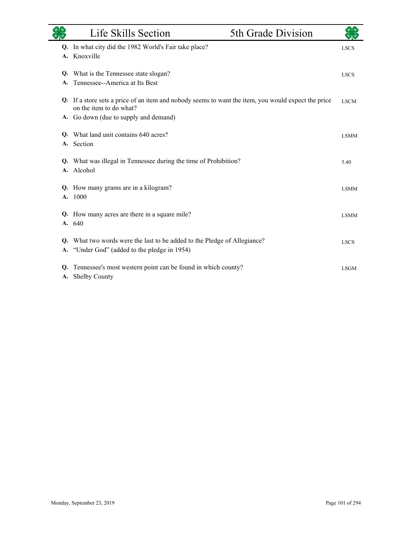|    | Life Skills Section                                                                                                            | 5th Grade Division |             |
|----|--------------------------------------------------------------------------------------------------------------------------------|--------------------|-------------|
|    | Q. In what city did the 1982 World's Fair take place?                                                                          |                    | <b>LSCS</b> |
| A. | Knoxville                                                                                                                      |                    |             |
| Q. | What is the Tennessee state slogan?                                                                                            |                    | <b>LSCS</b> |
| A. | Tennessee--America at Its Best                                                                                                 |                    |             |
|    | Q. If a store sets a price of an item and nobody seems to want the item, you would expect the price<br>on the item to do what? |                    | <b>LSCM</b> |
|    | A. Go down (due to supply and demand)                                                                                          |                    |             |
| Q. | What land unit contains 640 acres?                                                                                             |                    | <b>LSMM</b> |
| A. | Section                                                                                                                        |                    |             |
| Q. | What was illegal in Tennessee during the time of Prohibition?                                                                  |                    | 5.40        |
| А. | Alcohol                                                                                                                        |                    |             |
| Q. | How many grams are in a kilogram?                                                                                              |                    | <b>LSMM</b> |
| A. | 1000                                                                                                                           |                    |             |
| Q. | How many acres are there in a square mile?                                                                                     |                    | <b>LSMM</b> |
|    | A. 640                                                                                                                         |                    |             |
| Q. | What two words were the last to be added to the Pledge of Allegiance?                                                          |                    | <b>LSCS</b> |
| А. | "Under God" (added to the pledge in 1954)                                                                                      |                    |             |
| Q. | Tennessee's most western point can be found in which county?                                                                   |                    | <b>LSGM</b> |
| А. | Shelby County                                                                                                                  |                    |             |

and a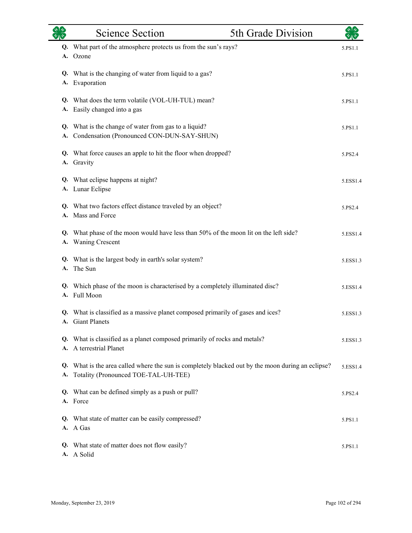|          | <b>Science Section</b>                                                                                                                 | 5th Grade Division |          |
|----------|----------------------------------------------------------------------------------------------------------------------------------------|--------------------|----------|
| Q.<br>А. | What part of the atmosphere protects us from the sun's rays?<br>Ozone                                                                  |                    | 5.PS1.1  |
| Q.<br>А. | What is the changing of water from liquid to a gas?<br>Evaporation                                                                     |                    | 5.PS1.1  |
| А.       | Q. What does the term volatile (VOL-UH-TUL) mean?<br>Easily changed into a gas                                                         |                    | 5.PS1.1  |
| Q.<br>А. | What is the change of water from gas to a liquid?<br>Condensation (Pronounced CON-DUN-SAY-SHUN)                                        |                    | 5.PS1.1  |
|          | Q. What force causes an apple to hit the floor when dropped?<br>A. Gravity                                                             |                    | 5.PS2.4  |
|          | Q. What eclipse happens at night?<br>A. Lunar Eclipse                                                                                  |                    | 5.ESS1.4 |
|          | Q. What two factors effect distance traveled by an object?<br>A. Mass and Force                                                        |                    | 5.PS2.4  |
| Q.       | What phase of the moon would have less than 50% of the moon lit on the left side?<br>A. Waning Crescent                                |                    | 5.ESS1.4 |
| А.       | Q. What is the largest body in earth's solar system?<br>The Sun                                                                        |                    | 5.ESS1.3 |
|          | Q. Which phase of the moon is characterised by a completely illuminated disc?<br>A. Full Moon                                          |                    | 5.ESS1.4 |
|          | Q. What is classified as a massive planet composed primarily of gases and ices?<br>A. Giant Planets                                    |                    | 5.ESS1.3 |
|          | Q. What is classified as a planet composed primarily of rocks and metals?<br>A. A terrestrial Planet                                   |                    | 5.ESS1.3 |
| Q.<br>А. | What is the area called where the sun is completely blacked out by the moon during an eclipse?<br>Totality (Pronounced TOE-TAL-UH-TEE) |                    | 5.ESS1.4 |
| Q.       | What can be defined simply as a push or pull?<br>A. Force                                                                              |                    | 5.PS2.4  |
|          | Q. What state of matter can be easily compressed?<br>A. A Gas                                                                          |                    | 5.PS1.1  |
| Q.<br>А. | What state of matter does not flow easily?<br>A Solid                                                                                  |                    | 5.PS1.1  |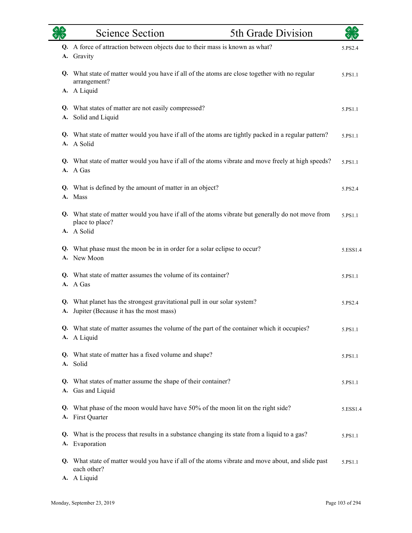|    | <b>Science Section</b><br>5th Grade Division                                                                         |          |
|----|----------------------------------------------------------------------------------------------------------------------|----------|
|    | Q. A force of attraction between objects due to their mass is known as what?<br>A. Gravity                           | 5.PS2.4  |
|    | Q. What state of matter would you have if all of the atoms are close together with no regular<br>arrangement?        | 5.PS1.1  |
|    | A. A Liquid                                                                                                          |          |
| А. | Q. What states of matter are not easily compressed?<br>Solid and Liquid                                              | 5.PS1.1  |
|    | Q. What state of matter would you have if all of the atoms are tightly packed in a regular pattern?<br>A. A Solid    | 5.PS1.1  |
|    | Q. What state of matter would you have if all of the atoms vibrate and move freely at high speeds?<br>A. A Gas       | 5.PS1.1  |
|    | Q. What is defined by the amount of matter in an object?<br>A. Mass                                                  | 5.PS2.4  |
|    | Q. What state of matter would you have if all of the atoms vibrate but generally do not move from<br>place to place? | 5.PS1.1  |
|    | A. A Solid                                                                                                           |          |
|    | Q. What phase must the moon be in in order for a solar eclipse to occur?<br>A. New Moon                              | 5.ESS1.4 |
|    | Q. What state of matter assumes the volume of its container?<br>A. A Gas                                             | 5.PS1.1  |
| А. | Q. What planet has the strongest gravitational pull in our solar system?<br>Jupiter (Because it has the most mass)   | 5.PS2.4  |
|    | What state of matter assumes the volume of the part of the container which it occupies?<br>A. A Liquid               | 5.PS1.1  |
|    | Q. What state of matter has a fixed volume and shape?<br>A. Solid                                                    | 5.PS1.1  |
|    | Q. What states of matter assume the shape of their container?<br>A. Gas and Liquid                                   | 5.PS1.1  |
|    | Q. What phase of the moon would have have 50% of the moon lit on the right side?<br>A. First Quarter                 | 5.ESS1.4 |
|    | Q. What is the process that results in a substance changing its state from a liquid to a gas?<br>A. Evaporation      | 5.PS1.1  |
|    | Q. What state of matter would you have if all of the atoms vibrate and move about, and slide past<br>each other?     | 5.PS1.1  |
|    | A. A Liquid                                                                                                          |          |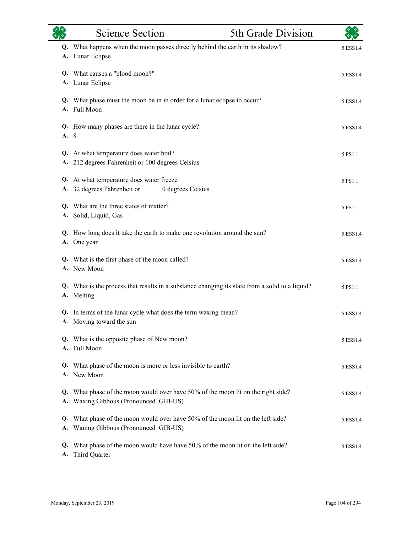|          | <b>Science Section</b>                                                                     | 5th Grade Division                                                                              | ぐしゃ      |
|----------|--------------------------------------------------------------------------------------------|-------------------------------------------------------------------------------------------------|----------|
|          | A. Lunar Eclipse                                                                           | Q. What happens when the moon passes directly behind the earth in its shadow?                   | 5.ESS1.4 |
|          | Q. What causes a "blood moon?"<br>A. Lunar Eclipse                                         |                                                                                                 | 5.ESS1.4 |
|          | A. Full Moon                                                                               | Q. What phase must the moon be in in order for a lunar eclipse to occur?                        | 5.ESS1.4 |
| A. 8     | Q. How many phases are there in the lunar cycle?                                           |                                                                                                 | 5.ESS1.4 |
| A.       | Q. At what temperature does water boil?<br>212 degrees Fahrenheit or 100 degrees Celsius   |                                                                                                 | 5.PS1.1  |
|          | Q. At what temperature does water freeze<br>A. 32 degrees Fahrenheit or                    | 0 degrees Celsius                                                                               | 5.PS1.1  |
|          | Q. What are the three states of matter?<br>A. Solid, Liquid, Gas                           |                                                                                                 | 5.PS1.1  |
|          | A. One year                                                                                | Q. How long does it take the earth to make one revolution around the sun?                       | 5.ESS1.4 |
|          | Q. What is the first phase of the moon called?<br>A. New Moon                              |                                                                                                 | 5.ESS1.4 |
|          | A. Melting                                                                                 | Q. What is the process that results in a substance changing its state from a solid to a liquid? | 5.PS1.1  |
|          | Q. In terms of the lunar cycle what does the term waxing mean?<br>A. Moving toward the sun |                                                                                                 | 5.ESS1.4 |
|          | Q. What is the opposite phase of New moon?<br>A. Full Moon                                 |                                                                                                 | 5.ESS1.4 |
|          | Q. What phase of the moon is more or less invisible to earth?<br>A. New Moon               |                                                                                                 | 5.ESS1.4 |
| Q.       | A. Waxing Gibbous (Pronounced GIB-US)                                                      | What phase of the moon would over have 50% of the moon lit on the right side?                   | 5.ESS1.4 |
| Q.<br>A. | Waning Gibbous (Pronounced GIB-US)                                                         | What phase of the moon would over have 50% of the moon lit on the left side?                    | 5.ESS1.4 |
| Q.<br>A. | Third Quarter                                                                              | What phase of the moon would have have 50% of the moon lit on the left side?                    | 5.ESS1.4 |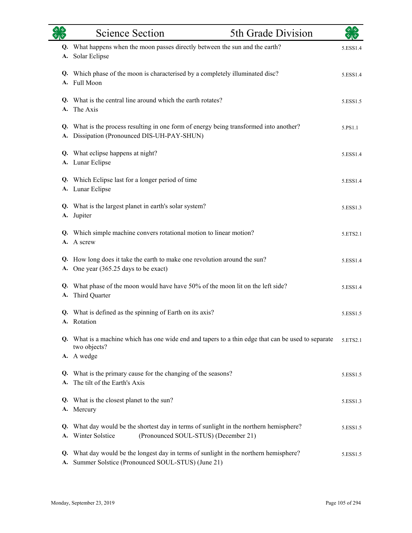|          | <b>Science Section</b>                                                                                                                         | 5th Grade Division | $\star$ $\star$ |
|----------|------------------------------------------------------------------------------------------------------------------------------------------------|--------------------|-----------------|
| А.       | Q. What happens when the moon passes directly between the sun and the earth?<br>Solar Eclipse                                                  |                    | 5.ESS1.4        |
| Q.       | Which phase of the moon is characterised by a completely illuminated disc?<br>A. Full Moon                                                     |                    | 5.ESS1.4        |
|          | Q. What is the central line around which the earth rotates?<br>A. The Axis                                                                     |                    | 5.ESS1.5        |
| A.       | Q. What is the process resulting in one form of energy being transformed into another?<br>Dissipation (Pronounced DIS-UH-PAY-SHUN)             |                    | 5.PS1.1         |
|          | Q. What eclipse happens at night?<br>A. Lunar Eclipse                                                                                          |                    | 5.ESS1.4        |
|          | Q. Which Eclipse last for a longer period of time<br>A. Lunar Eclipse                                                                          |                    | 5.ESS1.4        |
|          | Q. What is the largest planet in earth's solar system?<br>A. Jupiter                                                                           |                    | 5.ESS1.3        |
| Q.       | Which simple machine convers rotational motion to linear motion?<br>A. A screw                                                                 |                    | 5.ETS2.1        |
|          | Q. How long does it take the earth to make one revolution around the sun?<br>A. One year (365.25 days to be exact)                             |                    | 5.ESS1.4        |
| Q.<br>А. | What phase of the moon would have have 50% of the moon lit on the left side?<br>Third Quarter                                                  |                    | 5.ESS1.4        |
|          | Q. What is defined as the spinning of Earth on its axis?<br>A. Rotation                                                                        |                    | 5.ESS1.5        |
|          | Q. What is a machine which has one wide end and tapers to a thin edge that can be used to separate<br>two objects?<br>A. A wedge               |                    | 5.ETS2.1        |
| Q.<br>A. | What is the primary cause for the changing of the seasons?<br>The tilt of the Earth's Axis                                                     |                    | 5.ESS1.5        |
| Q.<br>А. | What is the closest planet to the sun?<br>Mercury                                                                                              |                    | 5.ESS1.3        |
| Q.<br>А. | What day would be the shortest day in terms of sunlight in the northern hemisphere?<br>(Pronounced SOUL-STUS) (December 21)<br>Winter Solstice |                    | 5.ESS1.5        |
| Q.<br>A. | What day would be the longest day in terms of sunlight in the northern hemisphere?<br>Summer Solstice (Pronounced SOUL-STUS) (June 21)         |                    | 5.ESS1.5        |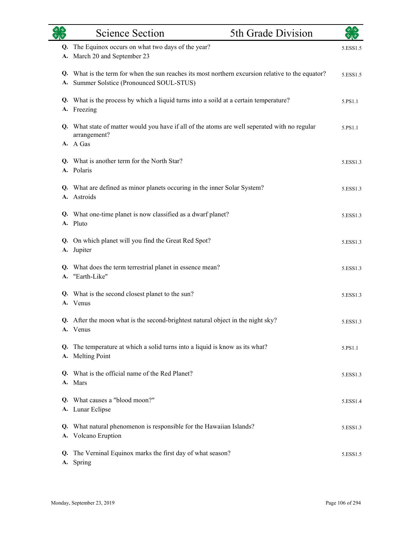| $\sqrt{47}$ | Science Section                                                                                                                             | 5th Grade Division | $\sqrt[4]{3}$ |
|-------------|---------------------------------------------------------------------------------------------------------------------------------------------|--------------------|---------------|
| Q.<br>A.    | The Equinox occurs on what two days of the year?<br>March 20 and September 23                                                               |                    | 5.ESS1.5      |
| А.          | Q. What is the term for when the sun reaches its most northern excursion relative to the equator?<br>Summer Solstice (Pronounced SOUL-STUS) |                    | 5.ESS1.5      |
| А.          | Q. What is the process by which a liquid turns into a soild at a certain temperature?<br>Freezing                                           |                    | 5.PS1.1       |
|             | Q. What state of matter would you have if all of the atoms are well seperated with no regular<br>arrangement?<br>A. A Gas                   |                    | 5.PS1.1       |
|             | Q. What is another term for the North Star?<br>A. Polaris                                                                                   |                    | 5.ESS1.3      |
|             | Q. What are defined as minor planets occuring in the inner Solar System?<br>A. Astroids                                                     |                    | 5.ESS1.3      |
|             | Q. What one-time planet is now classified as a dwarf planet?<br>A. Pluto                                                                    |                    | 5.ESS1.3      |
| Q.<br>A.    | On which planet will you find the Great Red Spot?<br>Jupiter                                                                                |                    | 5.ESS1.3      |
|             | Q. What does the term terrestrial planet in essence mean?<br>A. "Earth-Like"                                                                |                    | 5.ESS1.3      |
|             | Q. What is the second closest planet to the sun?<br>A. Venus                                                                                |                    | 5.ESS1.3      |
|             | Q. After the moon what is the second-brightest natural object in the night sky?<br>A. Venus                                                 |                    | 5.ESS1.3      |
| Q.          | The temperature at which a solid turns into a liquid is know as its what?<br>A. Melting Point                                               |                    | 5.PS1.1       |
|             | Q. What is the official name of the Red Planet?<br>A. Mars                                                                                  |                    | 5.ESS1.3      |
|             | Q. What causes a "blood moon?"<br>A. Lunar Eclipse                                                                                          |                    | 5.ESS1.4      |
| Q.          | What natural phenomenon is responsible for the Hawaiian Islands?<br>A. Volcano Eruption                                                     |                    | 5.ESS1.3      |
| Q.          | The Verninal Equinox marks the first day of what season?<br>A. Spring                                                                       |                    | 5.ESS1.5      |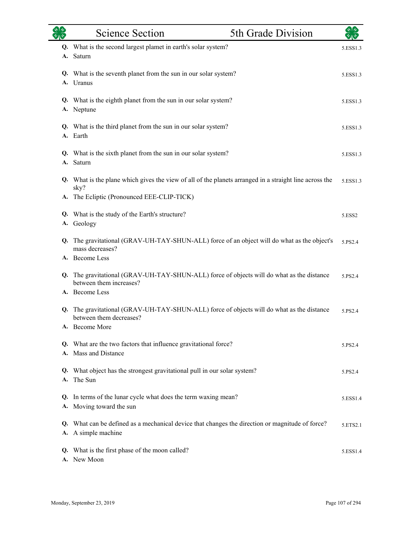|          | <b>Science Section</b>                                                                                               | 5th Grade Division | ぐしゃ      |
|----------|----------------------------------------------------------------------------------------------------------------------|--------------------|----------|
| A.       | Q. What is the second largest plamet in earth's solar system?<br>Saturn                                              |                    | 5.ESS1.3 |
|          | Q. What is the seventh planet from the sun in our solar system?<br>A. Uranus                                         |                    | 5.ESS1.3 |
|          | Q. What is the eighth planet from the sun in our solar system?<br>A. Neptune                                         |                    | 5.ESS1.3 |
|          | Q. What is the third planet from the sun in our solar system?<br>A. Earth                                            |                    | 5.ESS1.3 |
| A.       | Q. What is the sixth planet from the sun in our solar system?<br>Saturn                                              |                    | 5.ESS1.3 |
|          | Q. What is the plane which gives the view of all of the planets arranged in a straight line across the<br>sky?       |                    | 5.ESS1.3 |
| A.       | The Ecliptic (Pronounced EEE-CLIP-TICK)                                                                              |                    |          |
| А.       | Q. What is the study of the Earth's structure?<br>Geology                                                            |                    | 5.ESS2   |
| Q.       | The gravitational (GRAV-UH-TAY-SHUN-ALL) force of an object will do what as the object's<br>mass decreases?          |                    | 5.PS2.4  |
|          | A. Become Less                                                                                                       |                    |          |
|          | Q. The gravitational (GRAV-UH-TAY-SHUN-ALL) force of objects will do what as the distance<br>between them increases? |                    | 5.PS2.4  |
|          | A. Become Less                                                                                                       |                    |          |
|          | Q. The gravitational (GRAV-UH-TAY-SHUN-ALL) force of objects will do what as the distance<br>between them decreases? |                    | 5.PS2.4  |
|          | <b>Become More</b>                                                                                                   |                    |          |
| Q.       | What are the two factors that influence gravitational force?<br>A. Mass and Distance                                 |                    | 5.PS2.4  |
| Q.<br>A. | What object has the strongest gravitational pull in our solar system?<br>The Sun                                     |                    | 5.PS2.4  |
|          | Q. In terms of the lunar cycle what does the term waxing mean?<br>A. Moving toward the sun                           |                    | 5.ESS1.4 |
| Q.<br>А. | What can be defined as a mechanical device that changes the direction or magnitude of force?<br>A simple machine     |                    | 5.ETS2.1 |
| Q.       | What is the first phase of the moon called?<br>A. New Moon                                                           |                    | 5.ESS1.4 |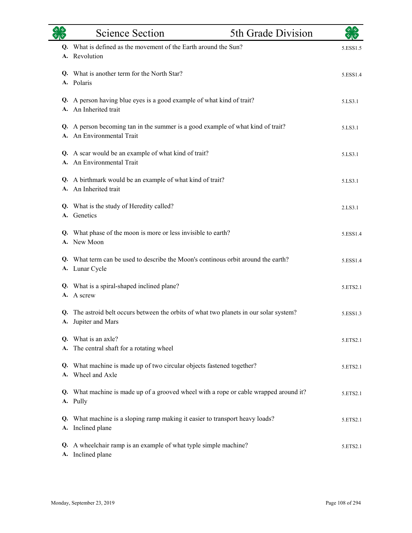|    | <b>Science Section</b>                                                                                     | 5th Grade Division |          |
|----|------------------------------------------------------------------------------------------------------------|--------------------|----------|
|    | Q. What is defined as the movement of the Earth around the Sun?<br>A. Revolution                           |                    | 5.ESS1.5 |
|    | Q. What is another term for the North Star?<br>A. Polaris                                                  |                    | 5.ESS1.4 |
|    | Q. A person having blue eyes is a good example of what kind of trait?<br>A. An Inherited trait             |                    | 5.LS3.1  |
| А. | Q. A person becoming tan in the summer is a good example of what kind of trait?<br>An Environmental Trait  |                    | 5.LS3.1  |
|    | Q. A scar would be an example of what kind of trait?<br>An Environmental Trait                             |                    | 5.LS3.1  |
|    | Q. A birthmark would be an example of what kind of trait?<br>A. An Inherited trait                         |                    | 5.LS3.1  |
|    | Q. What is the study of Heredity called?<br>A. Genetics                                                    |                    | 2.LS3.1  |
|    | Q. What phase of the moon is more or less invisible to earth?<br>A. New Moon                               |                    | 5.ESS1.4 |
|    | Q. What term can be used to describe the Moon's continous orbit around the earth?<br>A. Lunar Cycle        |                    | 5.ESS1.4 |
|    | Q. What is a spiral-shaped inclined plane?<br>A. A screw                                                   |                    | 5.ETS2.1 |
| Q. | The astroid belt occurs between the orbits of what two planets in our solar system?<br>A. Jupiter and Mars |                    | 5.ESS1.3 |
| A. | Q. What is an axle?<br>The central shaft for a rotating wheel                                              |                    | 5.ETS2.1 |
| Q. | What machine is made up of two circular objects fastened together?<br>A. Wheel and Axle                    |                    | 5.ETS2.1 |
|    | Q. What machine is made up of a grooved wheel with a rope or cable wrapped around it?<br>A. Pully          |                    | 5.ETS2.1 |
| Q. | What machine is a sloping ramp making it easier to transport heavy loads?<br>A. Inclined plane             |                    | 5.ETS2.1 |
|    | Q. A wheelchair ramp is an example of what typle simple machine?<br>A. Inclined plane                      |                    | 5.ETS2.1 |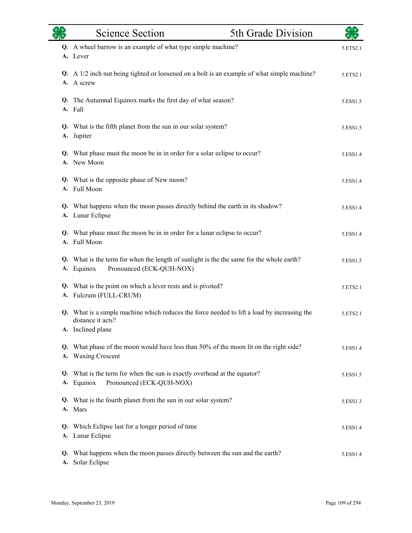|    | <b>Science Section</b>                                                                                                             | 5th Grade Division | কাক      |
|----|------------------------------------------------------------------------------------------------------------------------------------|--------------------|----------|
|    | Q. A wheel barrow is an example of what type simple machine?<br>A. Lever                                                           |                    | 5.ETS2.1 |
|    | Q. A 1/2 inch nut being tighted or loosened on a bolt is an example of what simple machine?<br>A. A screw                          |                    | 5.ETS2.1 |
|    | Q. The Autumnal Equinox marks the first day of what season?<br>A. Fall                                                             |                    | 5.ESS1.5 |
|    | Q. What is the fifth planet from the sun in our solar system?<br>A. Jupiter                                                        |                    | 5.ESS1.3 |
|    | Q. What phase must the moon be in in order for a solar eclipse to occur?<br>A. New Moon                                            |                    | 5.ESS1.4 |
|    | Q. What is the opposite phase of New moon?<br>A. Full Moon                                                                         |                    | 5.ESS1.4 |
|    | Q. What happens when the moon passes directly behind the earth in its shadow?<br>A. Lunar Eclipse                                  |                    | 5.ESS1.4 |
|    | Q. What phase must the moon be in in order for a lunar eclipse to occur?<br>A. Full Moon                                           |                    | 5.ESS1.4 |
|    | Q. What is the term for when the length of sunlight is the the same for the whole earth?<br>Pronounced (ECK-QUH-NOX)<br>A. Equinox |                    | 5.ESS1.5 |
|    | Q. What is the point on which a lever rests and is pivoted?<br>A. Fulcrum (FULL-CRUM)                                              |                    | 5.ETS2.1 |
| Q. | What is a simple machine which reduces the force needed to lift a load by increasing the<br>distance it acts?<br>A. Inclined plane |                    | 5.ETS2.1 |
|    | Q. What phase of the moon would have less than 50% of the moon lit on the right side?<br>A. Waxing Crescent                        |                    | 5.ESS1.4 |
|    | Q. What is the term for when the sun is exactly overhead at the equator?<br>Pronounced (ECK-QUH-NOX)<br>A. Equinox                 |                    | 5.ESS1.5 |
|    | Q. What is the fourth planet from the sun in our solar system?<br>A. Mars                                                          |                    | 5.ESS1.3 |
| Q. | Which Eclipse last for a longer period of time<br>A. Lunar Eclipse                                                                 |                    | 5.ESS1.4 |
|    | Q. What happens when the moon passes directly between the sun and the earth?<br>A. Solar Eclipse                                   |                    | 5.ESS1.4 |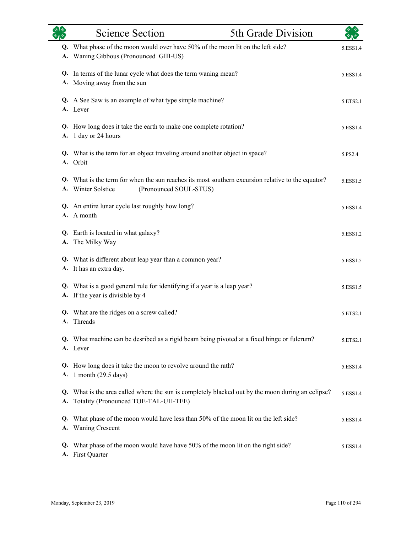|          | <b>Science Section</b>                                                                                                                            | 5th Grade Division | $\star$ 1 $\star$ |
|----------|---------------------------------------------------------------------------------------------------------------------------------------------------|--------------------|-------------------|
|          | Q. What phase of the moon would over have 50% of the moon lit on the left side?<br>A. Waning Gibbous (Pronounced GIB-US)                          |                    | 5.ESS1.4          |
|          | Q. In terms of the lunar cycle what does the term waning mean?<br>A. Moving away from the sun                                                     |                    | 5.ESS1.4          |
|          | Q. A See Saw is an example of what type simple machine?<br>A. Lever                                                                               |                    | 5.ETS2.1          |
| A.       | Q. How long does it take the earth to make one complete rotation?<br>1 day or 24 hours                                                            |                    | 5.ESS1.4          |
|          | Q. What is the term for an object traveling around another object in space?<br>A. Orbit                                                           |                    | 5.PS2.4           |
|          | Q. What is the term for when the sun reaches its most southern excursion relative to the equator?<br>A. Winter Solstice<br>(Pronounced SOUL-STUS) |                    | 5.ESS1.5          |
|          | Q. An entire lunar cycle last roughly how long?<br>A. A month                                                                                     |                    | 5.ESS1.4          |
| А.       | Q. Earth is located in what galaxy?<br>The Milky Way                                                                                              |                    | 5.ESS1.2          |
|          | Q. What is different about leap year than a common year?<br>A. It has an extra day.                                                               |                    | 5.ESS1.5          |
|          | Q. What is a good general rule for identifying if a year is a leap year?<br>A. If the year is divisible by 4                                      |                    | 5.ESS1.5          |
|          | Q. What are the ridges on a screw called?<br>A. Threads                                                                                           |                    | 5.ETS2.1          |
|          | Q. What machine can be desribed as a rigid beam being pivoted at a fixed hinge or fulcrum?<br>A. Lever                                            |                    | 5.ETS2.1          |
| А.       | Q. How long does it take the moon to revolve around the rath?<br>1 month (29.5 days)                                                              |                    | 5.ESS1.4          |
| Q.<br>A. | What is the area called where the sun is completely blacked out by the moon during an eclipse?<br>Totality (Pronounced TOE-TAL-UH-TEE)            |                    | 5.ESS1.4          |
| Q.<br>A. | What phase of the moon would have less than 50% of the moon lit on the left side?<br><b>Waning Crescent</b>                                       |                    | 5.ESS1.4          |
| Q.<br>A. | What phase of the moon would have have 50% of the moon lit on the right side?<br>First Quarter                                                    |                    | 5.ESS1.4          |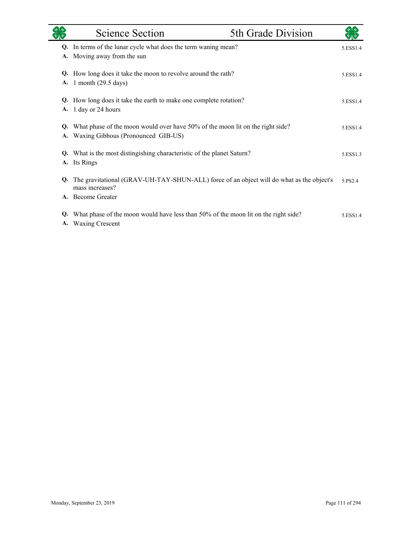|    | <b>Science Section</b>                                                                                      | 5th Grade Division |          |
|----|-------------------------------------------------------------------------------------------------------------|--------------------|----------|
| Q. | In terms of the lunar cycle what does the term waning mean?                                                 |                    | 5.ESS1.4 |
| А. | Moving away from the sun                                                                                    |                    |          |
| Q. | How long does it take the moon to revolve around the rath?                                                  |                    | 5.ESS1.4 |
| A. | 1 month $(29.5 \text{ days})$                                                                               |                    |          |
| Q. | How long does it take the earth to make one complete rotation?                                              |                    | 5.ESS1.4 |
| A. | 1 day or 24 hours                                                                                           |                    |          |
| Q. | What phase of the moon would over have 50% of the moon lit on the right side?                               |                    | 5.ESS1.4 |
| А. | Waxing Gibbous (Pronounced GIB-US)                                                                          |                    |          |
| Q. | What is the most distingishing characteristic of the planet Saturn?                                         |                    | 5.ESS1.3 |
| A. | Its Rings                                                                                                   |                    |          |
| Q. | The gravitational (GRAV-UH-TAY-SHUN-ALL) force of an object will do what as the object's<br>mass increases? |                    | 5.PS2.4  |
|    | A. Become Greater                                                                                           |                    |          |
| Q. | What phase of the moon would have less than 50% of the moon lit on the right side?                          |                    | 5.ESS1.4 |
|    | A. Waxing Crescent                                                                                          |                    |          |

eri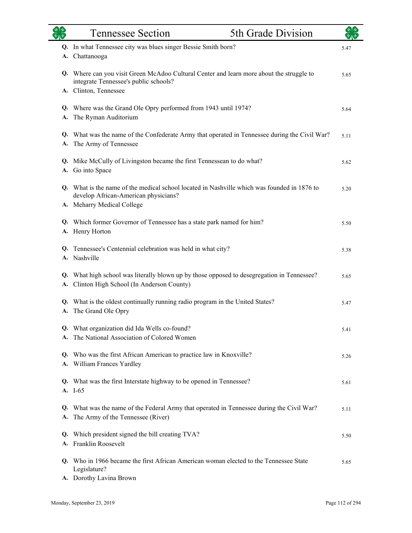|          | <b>Tennessee Section</b>                                                                                                            | 5th Grade Division |      |
|----------|-------------------------------------------------------------------------------------------------------------------------------------|--------------------|------|
| А.       | Q. In what Tennessee city was blues singer Bessie Smith born?<br>Chattanooga                                                        |                    | 5.47 |
|          | Q. Where can you visit Green McAdoo Cultural Center and learn more about the struggle to<br>integrate Tennessee's public schools?   |                    | 5.65 |
|          | A. Clinton, Tennessee                                                                                                               |                    |      |
|          | Q. Where was the Grand Ole Opry performed from 1943 until 1974?                                                                     |                    | 5.64 |
| А.       | The Ryman Auditorium                                                                                                                |                    |      |
| А.       | Q. What was the name of the Confederate Army that operated in Tennessee during the Civil War?<br>The Army of Tennessee              |                    | 5.11 |
| А.       | Q. Mike McCully of Livingston became the first Tennessean to do what?<br>Go into Space                                              |                    | 5.62 |
|          | Q. What is the name of the medical school located in Nashville which was founded in 1876 to<br>develop African-American physicians? |                    | 5.20 |
|          | A. Meharry Medical College                                                                                                          |                    |      |
|          | Q. Which former Governor of Tennessee has a state park named for him?                                                               |                    | 5.50 |
|          | A. Henry Horton                                                                                                                     |                    |      |
| Q.       | Tennessee's Centennial celebration was held in what city?<br>A. Nashville                                                           |                    | 5.38 |
| Q.<br>А. | What high school was literally blown up by those opposed to desegregation in Tennessee?<br>Clinton High School (In Anderson County) |                    | 5.65 |
| A.       | Q. What is the oldest continually running radio program in the United States?<br>The Grand Ole Opry                                 |                    | 5.47 |
| A.       | Q. What organization did Ida Wells co-found?<br>The National Association of Colored Women                                           |                    | 5.41 |
| А.       | Q. Who was the first African American to practice law in Knoxville?<br>William Frances Yardley                                      |                    | 5.26 |
| Q.       | What was the first Interstate highway to be opened in Tennessee?<br>A. I-65                                                         |                    | 5.61 |
| A.       | Q. What was the name of the Federal Army that operated in Tennessee during the Civil War?<br>The Army of the Tennessee (River)      |                    | 5.11 |
| Q.       | Which president signed the bill creating TVA?<br>A. Franklin Roosevelt                                                              |                    | 5.50 |
| Q.       | Who in 1966 became the first African American woman elected to the Tennessee State<br>Legislature?                                  |                    | 5.65 |
|          | A. Dorothy Lavina Brown                                                                                                             |                    |      |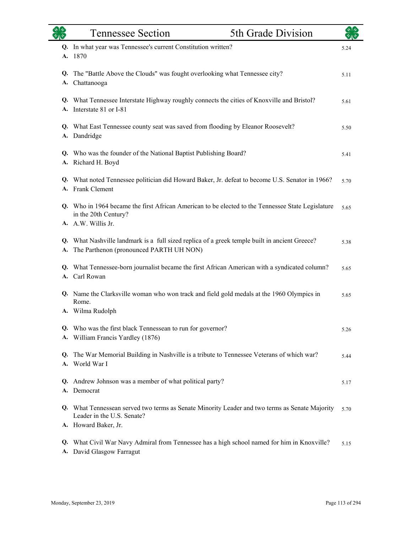|          | <b>Tennessee Section</b>                                                                                                                         | 5th Grade Division |      |
|----------|--------------------------------------------------------------------------------------------------------------------------------------------------|--------------------|------|
| A.       | In what year was Tennessee's current Constitution written?<br>1870                                                                               |                    | 5.24 |
| Q.<br>A. | The "Battle Above the Clouds" was fought overlooking what Tennessee city?<br>Chattanooga                                                         |                    | 5.11 |
|          | Q. What Tennessee Interstate Highway roughly connects the cities of Knoxville and Bristol?<br>A. Interstate 81 or I-81                           |                    | 5.61 |
|          | Q. What East Tennessee county seat was saved from flooding by Eleanor Roosevelt?<br>A. Dandridge                                                 |                    | 5.50 |
|          | Q. Who was the founder of the National Baptist Publishing Board?<br>A. Richard H. Boyd                                                           |                    | 5.41 |
| Q.       | What noted Tennessee politician did Howard Baker, Jr. defeat to become U.S. Senator in 1966?<br>A. Frank Clement                                 |                    | 5.70 |
| Q.       | Who in 1964 became the first African American to be elected to the Tennessee State Legislature<br>in the 20th Century?<br>A. A.W. Willis Jr.     |                    | 5.65 |
| А.       | Q. What Nashville landmark is a full sized replica of a greek temple built in ancient Greece?<br>The Parthenon (pronounced PARTH UH NON)         |                    | 5.38 |
| Q.<br>А. | What Tennessee-born journalist became the first African American with a syndicated column?<br>Carl Rowan                                         |                    | 5.65 |
|          | Q. Name the Clarksville woman who won track and field gold medals at the 1960 Olympics in<br>Rome.<br>A. Wilma Rudolph                           |                    | 5.65 |
|          | Q. Who was the first black Tennessean to run for governor?<br>A. William Francis Yardley (1876)                                                  |                    | 5.26 |
| Q.       | The War Memorial Building in Nashville is a tribute to Tennessee Veterans of which war?<br>A. World War I                                        |                    | 5.44 |
|          | Q. Andrew Johnson was a member of what political party?<br>A. Democrat                                                                           |                    | 5.17 |
|          | Q. What Tennessean served two terms as Senate Minority Leader and two terms as Senate Majority<br>Leader in the U.S. Senate?                     |                    | 5.70 |
|          | A. Howard Baker, Jr.<br>Q. What Civil War Navy Admiral from Tennessee has a high school named for him in Knoxville?<br>A. David Glasgow Farragut |                    | 5.15 |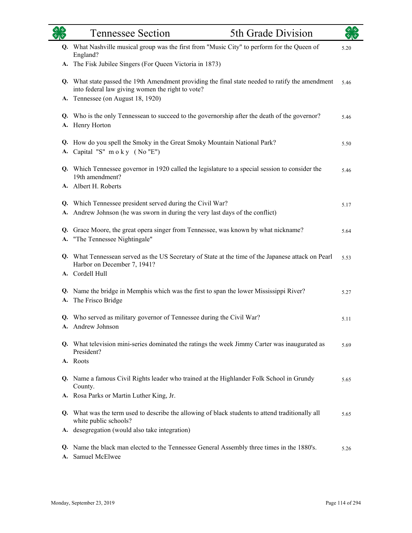| रुष्ठ<br>श्रीरु | <b>Tennessee Section</b>                                                                                                                                                               | 5th Grade Division |      |
|-----------------|----------------------------------------------------------------------------------------------------------------------------------------------------------------------------------------|--------------------|------|
| Q.              | What Nashville musical group was the first from "Music City" to perform for the Queen of<br>England?                                                                                   |                    | 5.20 |
|                 | A. The Fisk Jubilee Singers (For Queen Victoria in 1873)                                                                                                                               |                    |      |
| A.              | Q. What state passed the 19th Amendment providing the final state needed to ratify the amendment<br>into federal law giving women the right to vote?<br>Tennessee (on August 18, 1920) |                    |      |
|                 | Q. Who is the only Tennessean to succeed to the governorship after the death of the governor?<br>A. Henry Horton                                                                       |                    | 5.46 |
|                 | Q. How do you spell the Smoky in the Great Smoky Mountain National Park?<br>A. Capital "S" moky (No "E")                                                                               |                    | 5.50 |
|                 | Q. Which Tennessee governor in 1920 called the legislature to a special session to consider the<br>19th amendment?<br>A. Albert H. Roberts                                             |                    | 5.46 |
|                 | Q. Which Tennessee president served during the Civil War?                                                                                                                              |                    | 5.17 |
| А.              | Andrew Johnson (he was sworn in during the very last days of the conflict)                                                                                                             |                    |      |
| А.              | Q. Grace Moore, the great opera singer from Tennessee, was known by what nickname?<br>"The Tennessee Nightingale"                                                                      |                    | 5.64 |
|                 | Q. What Tennessean served as the US Secretary of State at the time of the Japanese attack on Pearl<br>Harbor on December 7, 1941?                                                      |                    | 5.53 |
|                 | A. Cordell Hull                                                                                                                                                                        |                    |      |
| A.              | Q. Name the bridge in Memphis which was the first to span the lower Mississippi River?<br>The Frisco Bridge                                                                            |                    | 5.27 |
|                 | Q. Who served as military governor of Tennessee during the Civil War?<br>A. Andrew Johnson                                                                                             |                    | 5.11 |
| Q.              | What television mini-series dominated the ratings the week Jimmy Carter was inaugurated as<br>President?                                                                               |                    | 5.69 |
| A.              | Roots                                                                                                                                                                                  |                    |      |
|                 | Q. Name a famous Civil Rights leader who trained at the Highlander Folk School in Grundy<br>County.                                                                                    |                    | 5.65 |
|                 | A. Rosa Parks or Martin Luther King, Jr.                                                                                                                                               |                    |      |
| Q.              | What was the term used to describe the allowing of black students to attend traditionally all<br>white public schools?                                                                 |                    | 5.65 |
|                 | A. desegregation (would also take integration)                                                                                                                                         |                    |      |
| Q.<br>A.        | Name the black man elected to the Tennessee General Assembly three times in the 1880's.<br>Samuel McElwee                                                                              |                    | 5.26 |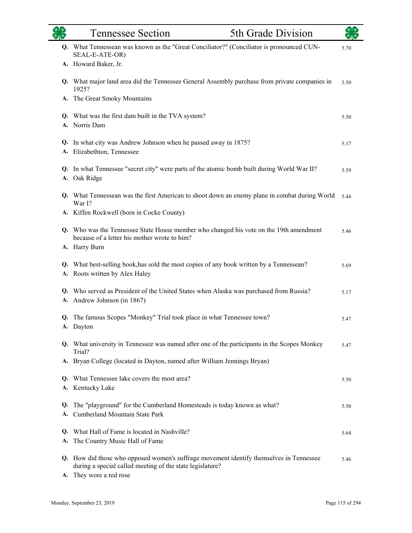|          | 5th Grade Division<br><b>Tennessee Section</b>                                                                                                       |      |
|----------|------------------------------------------------------------------------------------------------------------------------------------------------------|------|
|          | Q. What Tennessean was known as the "Great Conciliator?" (Conciliator is pronounced CUN-<br>SEAL-E-ATE-OR)                                           | 5.70 |
|          | A. Howard Baker, Jr.                                                                                                                                 |      |
|          | Q. What major land area did the Tennessee General Assembly purchase from private companies in<br>1925?                                               | 5.50 |
|          | A. The Great Smoky Mountains                                                                                                                         |      |
|          | Q. What was the first dam built in the TVA system?                                                                                                   | 5.50 |
|          | A. Norris Dam                                                                                                                                        |      |
|          | Q. In what city was Andrew Johnson when he passed away in 1875?<br>A. Elizabethton, Tennessee                                                        | 5.17 |
|          | Q. In what Tennessee "secret city" were parts of the atomic bomb built during World War II?<br>A. Oak Ridge                                          | 5.59 |
|          | Q. What Tennessean was the first American to shoot down an enemy plane in combat during World<br>War I?                                              | 5.44 |
|          | A. Kiffen Rockwell (born in Cocke County)                                                                                                            |      |
|          | Q. Who was the Tennessee State House member who changed his vote on the 19th amendment<br>because of a letter his mother wrote to him?               | 5.46 |
|          | A. Harry Burn                                                                                                                                        |      |
|          | Q. What best-selling book, has sold the most copies of any book written by a Tennessean?<br>A. Roots written by Alex Haley                           | 5.69 |
|          | Q. Who served as President of the United States when Alaska was purchased from Russia?<br>A. Andrew Johnson (in 1867)                                | 5.17 |
|          | Q. The famous Scopes "Monkey" Trial took place in what Tennessee town?<br>A. Dayton                                                                  | 5.47 |
|          | Q. What university in Tennessee was named after one of the participants in the Scopes Monkey<br>Trial?                                               | 5.47 |
|          | A. Bryan College (located in Dayton, named after William Jennings Bryan)                                                                             |      |
|          | Q. What Tennessee lake covers the most area?                                                                                                         | 5.50 |
|          | A. Kentucky Lake                                                                                                                                     |      |
| Q.<br>A. | The "playground" for the Cumberland Homesteads is today known as what?<br>Cumberland Mountain State Park                                             | 5.50 |
| Q.       | What Hall of Fame is located in Nashville?                                                                                                           | 5.64 |
| A.       | The Country Music Hall of Fame                                                                                                                       |      |
|          | Q. How did those who opposed women's suffrage movement identify themselves in Tennessee<br>during a special called meeting of the state legislature? | 5.46 |
| А.       | They wore a red rose                                                                                                                                 |      |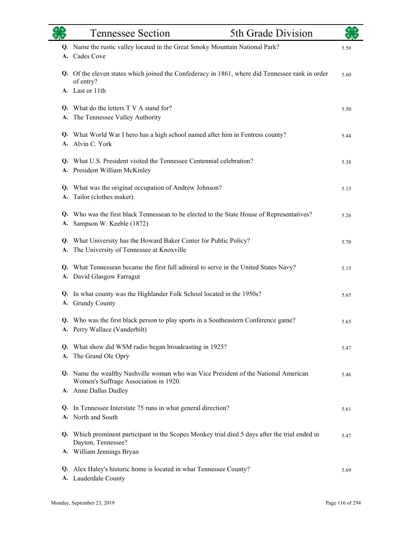|          | <b>Tennessee Section</b>                                                                                                                              | 5th Grade Division |      |
|----------|-------------------------------------------------------------------------------------------------------------------------------------------------------|--------------------|------|
|          | Q. Name the rustic valley located in the Great Smoky Mountain National Park?<br>A. Cades Cove                                                         |                    | 5.50 |
|          | Q. Of the eleven states which joined the Confederacy in 1861, where did Tennessee rank in order<br>of entry?                                          |                    | 5.60 |
|          | A. Last or 11th                                                                                                                                       |                    |      |
| A.       | Q. What do the letters T V A stand for?<br>The Tennessee Valley Authority                                                                             |                    | 5.50 |
|          | Q. What World War I hero has a high school named after him in Fentress county?<br>A. Alvin C. York                                                    |                    | 5.44 |
|          | Q. What U.S. President visited the Tennessee Centennial celebration?<br>A. President William McKinley                                                 |                    | 5.38 |
|          | Q. What was the original occupation of Andrew Johnson?<br>A. Tailor (clothes maker)                                                                   |                    | 5.15 |
| Q.<br>А. | Who was the first black Tennessean to be elected to the State House of Representatives?<br>Sampson W. Keeble (1872)                                   |                    | 5.26 |
|          | Q. What University has the Howard Baker Center for Public Policy?<br>A. The University of Tennessee at Knoxville                                      |                    | 5.70 |
|          | Q. What Tennessean became the first full admiral to serve in the United States Navy?<br>A. David Glasgow Farragut                                     |                    | 5.15 |
|          | Q. In what county was the Highlander Folk School located in the 1950s?<br>A. Grundy County                                                            |                    | 5.65 |
|          | Q. Who was the first black person to play sports in a Southeastern Conference game?<br>A. Perry Wallace (Vanderbilt)                                  |                    | 5.65 |
| Q.<br>A. | What show did WSM radio began broadcasting in 1925?<br>The Grand Ole Opry                                                                             |                    | 5.47 |
|          | Q. Name the wealthy Nashville woman who was Vice President of the National American<br>Women's Suffrage Association in 1920.<br>A. Anne Dallas Dudley |                    | 5.46 |
| Q.       | In Tennessee Interstate 75 runs in what general direction?<br>A. North and South                                                                      |                    | 5.61 |
|          | Q. Which prominent participant in the Scopes Monkey trial died 5 days after the trial ended in<br>Dayton, Tennessee?<br>A. William Jennings Bryan     |                    | 5.47 |
| Q.       | Alex Haley's historic home is located in what Tennessee County?<br>A. Lauderdale County                                                               |                    | 5.69 |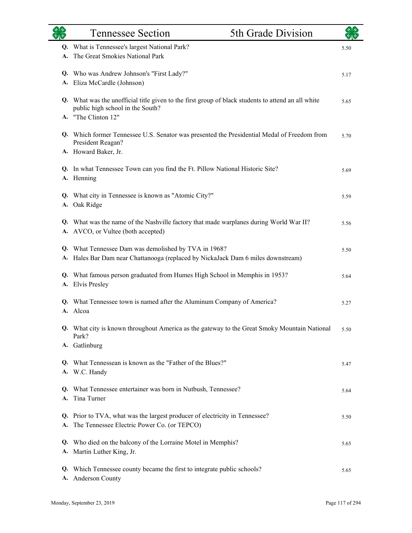|          | <b>Tennessee Section</b>                                                                                                               | 5th Grade Division |      |
|----------|----------------------------------------------------------------------------------------------------------------------------------------|--------------------|------|
| Q.<br>A. | What is Tennessee's largest National Park?<br>The Great Smokies National Park                                                          |                    | 5.50 |
| А.       | Q. Who was Andrew Johnson's "First Lady?"<br>Eliza McCardle (Johnson)                                                                  |                    | 5.17 |
|          | Q. What was the unofficial title given to the first group of black students to attend an all white<br>public high school in the South? |                    | 5.65 |
|          | A. "The Clinton 12"<br>Q. Which former Tennessee U.S. Senator was presented the Presidential Medal of Freedom from                     |                    | 5.70 |
|          | President Reagan?<br>A. Howard Baker, Jr.                                                                                              |                    |      |
|          | Q. In what Tennessee Town can you find the Ft. Pillow National Historic Site?<br>A. Henning                                            |                    | 5.69 |
|          | Q. What city in Tennessee is known as "Atomic City?"<br>A. Oak Ridge                                                                   |                    | 5.59 |
| Q.       | What was the name of the Nashville factory that made warplanes during World War II?<br>A. AVCO, or Vultee (both accepted)              |                    | 5.56 |
| А.       | Q. What Tennessee Dam was demolished by TVA in 1968?<br>Hales Bar Dam near Chattanooga (replaced by NickaJack Dam 6 miles downstream)  |                    | 5.50 |
| Q.<br>А. | What famous person graduated from Humes High School in Memphis in 1953?<br><b>Elvis Presley</b>                                        |                    | 5.64 |
| Q.<br>А. | What Tennessee town is named after the Aluminum Company of America?<br>Alcoa                                                           |                    | 5.27 |
|          | Q. What city is known throughout America as the gateway to the Great Smoky Mountain National<br>Park?<br>A. Gatlinburg                 |                    | 5.50 |
|          | Q. What Tennessean is known as the "Father of the Blues?"<br>A. W.C. Handy                                                             |                    | 5.47 |
|          | Q. What Tennessee entertainer was born in Nutbush, Tennessee?<br>A. Tina Turner                                                        |                    | 5.64 |
| А.       | Q. Prior to TVA, what was the largest producer of electricity in Tennessee?<br>The Tennessee Electric Power Co. (or TEPCO)             |                    | 5.50 |
| Q.       | Who died on the balcony of the Lorraine Motel in Memphis?<br>A. Martin Luther King, Jr.                                                |                    | 5.65 |
| Q.<br>А. | Which Tennessee county became the first to integrate public schools?<br>Anderson County                                                |                    | 5.65 |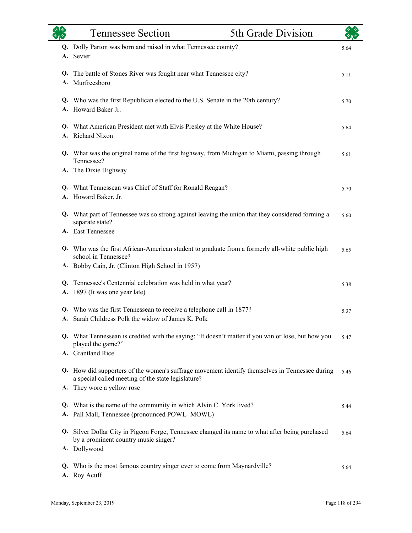|          | <b>Tennessee Section</b>                                                                                                                             | 5th Grade Division |      |
|----------|------------------------------------------------------------------------------------------------------------------------------------------------------|--------------------|------|
| Q.       | Dolly Parton was born and raised in what Tennessee county?                                                                                           |                    | 5.64 |
| А.       | Sevier                                                                                                                                               |                    |      |
| Q.       | The battle of Stones River was fought near what Tennessee city?                                                                                      |                    | 5.11 |
| А.       | Murfreesboro                                                                                                                                         |                    |      |
| Q.<br>A. | Who was the first Republican elected to the U.S. Senate in the 20th century?<br>Howard Baker Jr.                                                     |                    | 5.70 |
|          |                                                                                                                                                      |                    |      |
| Q.<br>A. | What American President met with Elvis Presley at the White House?<br>Richard Nixon                                                                  |                    | 5.64 |
|          |                                                                                                                                                      |                    |      |
|          | Q. What was the original name of the first highway, from Michigan to Miami, passing through<br>Tennessee?                                            |                    | 5.61 |
| A.       | The Dixie Highway                                                                                                                                    |                    |      |
| Q.       | What Tennessean was Chief of Staff for Ronald Reagan?                                                                                                |                    | 5.70 |
|          | A. Howard Baker, Jr.                                                                                                                                 |                    |      |
| Q.       | What part of Tennessee was so strong against leaving the union that they considered forming a<br>separate state?                                     |                    | 5.60 |
|          | A. East Tennessee                                                                                                                                    |                    |      |
|          | Q. Who was the first African-American student to graduate from a formerly all-white public high<br>school in Tennessee?                              |                    | 5.65 |
|          | A. Bobby Cain, Jr. (Clinton High School in 1957)                                                                                                     |                    |      |
| Q.       | Tennessee's Centennial celebration was held in what year?                                                                                            |                    | 5.38 |
| А.       | 1897 (It was one year late)                                                                                                                          |                    |      |
| Q.       | Who was the first Tennessean to receive a telephone call in 1877?                                                                                    |                    | 5.37 |
|          | A. Sarah Childress Polk the widow of James K. Polk                                                                                                   |                    |      |
|          | Q. What Tennessean is credited with the saying: "It doesn't matter if you win or lose, but how you<br>played the game?"                              |                    | 5.47 |
|          | A. Grantland Rice                                                                                                                                    |                    |      |
|          | Q. How did supporters of the women's suffrage movement identify themselves in Tennessee during<br>a special called meeting of the state legislature? |                    | 5.46 |
| А.       | They wore a yellow rose                                                                                                                              |                    |      |
| Q.       | What is the name of the community in which Alvin C. York lived?                                                                                      |                    | 5.44 |
| А.       | Pall Mall, Tennessee (pronounced POWL- MOWL)                                                                                                         |                    |      |
|          | Q. Silver Dollar City in Pigeon Forge, Tennessee changed its name to what after being purchased                                                      |                    | 5.64 |
|          | by a prominent country music singer?<br>A. Dollywood                                                                                                 |                    |      |
| Q.       | Who is the most famous country singer ever to come from Maynardville?<br>A. Roy Acuff                                                                |                    | 5.64 |
|          |                                                                                                                                                      |                    |      |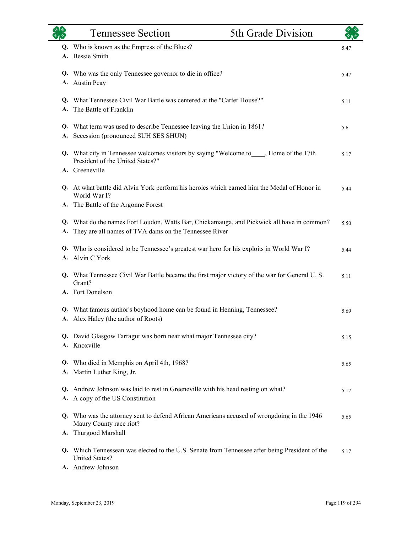|          | <b>Tennessee Section</b>                                                                                                                         | 5th Grade Division |      |
|----------|--------------------------------------------------------------------------------------------------------------------------------------------------|--------------------|------|
|          | Q. Who is known as the Empress of the Blues?<br>A. Bessie Smith                                                                                  |                    | 5.47 |
|          | Q. Who was the only Tennessee governor to die in office?<br>A. Austin Peay                                                                       |                    | 5.47 |
| A.       | Q. What Tennessee Civil War Battle was centered at the "Carter House?"<br>The Battle of Franklin                                                 |                    | 5.11 |
|          | Q. What term was used to describe Tennessee leaving the Union in 1861?<br>A. Secession (pronounced SUH SES SHUN)                                 |                    | 5.6  |
|          | Q. What city in Tennessee welcomes visitors by saying "Welcome to____, Home of the 17th<br>President of the United States?"<br>A. Greeneville    |                    | 5.17 |
|          | Q. At what battle did Alvin York perform his heroics which earned him the Medal of Honor in<br>World War I?                                      |                    | 5.44 |
|          | A. The Battle of the Argonne Forest                                                                                                              |                    |      |
| Q.<br>А. | What do the names Fort Loudon, Watts Bar, Chickamauga, and Pickwick all have in common?<br>They are all names of TVA dams on the Tennessee River |                    | 5.50 |
|          | Q. Who is considered to be Tennessee's greatest war hero for his exploits in World War I?<br>A. Alvin C York                                     |                    | 5.44 |
|          | Q. What Tennessee Civil War Battle became the first major victory of the war for General U.S.<br>Grant?                                          |                    | 5.11 |
|          | A. Fort Donelson                                                                                                                                 |                    |      |
|          | Q. What famous author's boyhood home can be found in Henning, Tennessee?<br>A. Alex Haley (the author of Roots)                                  |                    | 5.69 |
|          | Q. David Glasgow Farragut was born near what major Tennessee city?<br>A. Knoxville                                                               |                    | 5.15 |
|          | Q. Who died in Memphis on April 4th, 1968?<br>A. Martin Luther King, Jr.                                                                         |                    | 5.65 |
| Q.       | Andrew Johnson was laid to rest in Greeneville with his head resting on what?<br>A. A copy of the US Constitution                                |                    | 5.17 |
|          | Q. Who was the attorney sent to defend African Americans accused of wrongdoing in the 1946<br>Maury County race riot?<br>A. Thurgood Marshall    |                    | 5.65 |
|          | Q. Which Tennessean was elected to the U.S. Senate from Tennessee after being President of the<br><b>United States?</b><br>A. Andrew Johnson     |                    | 5.17 |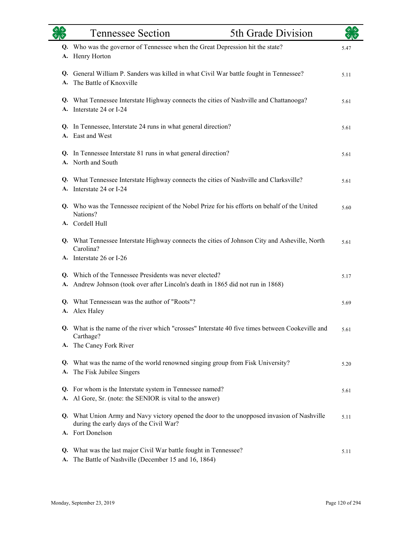|    | <b>Tennessee Section</b>                                                                                                                                  | 5th Grade Division |      |
|----|-----------------------------------------------------------------------------------------------------------------------------------------------------------|--------------------|------|
| А. | Q. Who was the governor of Tennessee when the Great Depression hit the state?<br>Henry Horton                                                             |                    | 5.47 |
| A. | Q. General William P. Sanders was killed in what Civil War battle fought in Tennessee?<br>The Battle of Knoxville                                         |                    | 5.11 |
|    | Q. What Tennessee Interstate Highway connects the cities of Nashville and Chattanooga?<br>A. Interstate 24 or I-24                                        |                    | 5.61 |
|    | Q. In Tennessee, Interstate 24 runs in what general direction?<br>A. East and West                                                                        |                    | 5.61 |
|    | Q. In Tennessee Interstate 81 runs in what general direction?<br>A. North and South                                                                       |                    | 5.61 |
|    | Q. What Tennessee Interstate Highway connects the cities of Nashville and Clarksville?<br>A. Interstate 24 or I-24                                        |                    | 5.61 |
|    | Q. Who was the Tennessee recipient of the Nobel Prize for his efforts on behalf of the United<br>Nations?<br>A. Cordell Hull                              |                    | 5.60 |
|    | Q. What Tennessee Interstate Highway connects the cities of Johnson City and Asheville, North<br>Carolina?<br>A. Interstate 26 or I-26                    |                    | 5.61 |
| A. | Q. Which of the Tennessee Presidents was never elected?<br>Andrew Johnson (took over after Lincoln's death in 1865 did not run in 1868)                   |                    | 5.17 |
| А. | Q. What Tennessean was the author of "Roots"?<br>Alex Haley                                                                                               |                    | 5.69 |
|    | Q. What is the name of the river which "crosses" Interstate 40 five times between Cookeville and<br>Carthage?                                             |                    | 5.61 |
|    | A. The Caney Fork River                                                                                                                                   |                    |      |
| А. | Q. What was the name of the world renowned singing group from Fisk University?<br>The Fisk Jubilee Singers                                                |                    | 5.20 |
|    | Q. For whom is the Interstate system in Tennessee named?<br>A. Al Gore, Sr. (note: the SENIOR is vital to the answer)                                     |                    | 5.61 |
|    | Q. What Union Army and Navy victory opened the door to the unopposed invasion of Nashville<br>during the early days of the Civil War?<br>A. Fort Donelson |                    | 5.11 |
| А. | Q. What was the last major Civil War battle fought in Tennessee?<br>The Battle of Nashville (December 15 and 16, 1864)                                    |                    | 5.11 |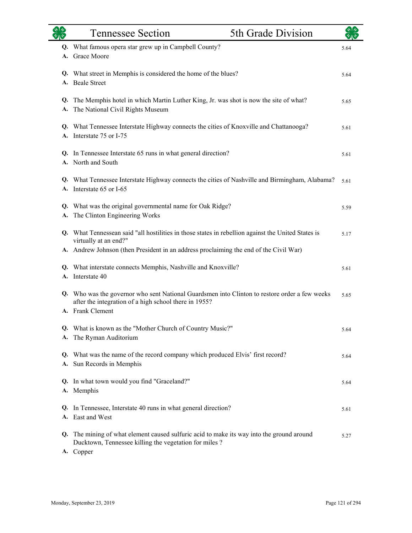|          | <b>Tennessee Section</b>                                                                                                                                                | 5th Grade Division |      |
|----------|-------------------------------------------------------------------------------------------------------------------------------------------------------------------------|--------------------|------|
| Q.<br>A. | What famous opera star grew up in Campbell County?<br><b>Grace Moore</b>                                                                                                |                    | 5.64 |
| А.       | Q. What street in Memphis is considered the home of the blues?<br><b>Beale Street</b>                                                                                   |                    | 5.64 |
| Q.<br>А. | The Memphis hotel in which Martin Luther King, Jr. was shot is now the site of what?<br>The National Civil Rights Museum                                                |                    | 5.65 |
| Q.<br>A. | What Tennessee Interstate Highway connects the cities of Knoxville and Chattanooga?<br>Interstate 75 or I-75                                                            |                    | 5.61 |
|          | Q. In Tennessee Interstate 65 runs in what general direction?<br>A. North and South                                                                                     |                    | 5.61 |
| Q.       | What Tennessee Interstate Highway connects the cities of Nashville and Birmingham, Alabama?<br>A. Interstate 65 or I-65                                                 |                    | 5.61 |
| Q.<br>А. | What was the original governmental name for Oak Ridge?<br>The Clinton Engineering Works                                                                                 |                    | 5.59 |
|          | Q. What Tennessean said "all hostilities in those states in rebellion against the United States is<br>virtually at an end?"                                             |                    | 5.17 |
|          | A. Andrew Johnson (then President in an address proclaiming the end of the Civil War)                                                                                   |                    |      |
| Q.<br>A. | What interstate connects Memphis, Nashville and Knoxville?<br>Interstate 40                                                                                             |                    | 5.61 |
| Q.       | Who was the governor who sent National Guardsmen into Clinton to restore order a few weeks<br>after the integration of a high school there in 1955?<br>A. Frank Clement |                    | 5.65 |
| А.       | Q. What is known as the "Mother Church of Country Music?"<br>The Ryman Auditorium                                                                                       |                    | 5.64 |
|          | Q. What was the name of the record company which produced Elvis' first record?<br>A. Sun Records in Memphis                                                             |                    | 5.64 |
|          | Q. In what town would you find "Graceland?"<br>A. Memphis                                                                                                               |                    | 5.64 |
| Q.       | In Tennessee, Interstate 40 runs in what general direction?<br>A. East and West                                                                                         |                    | 5.61 |
| Q.       | The mining of what element caused sulfuric acid to make its way into the ground around<br>Ducktown, Tennessee killing the vegetation for miles?<br>A. Copper            |                    | 5.27 |